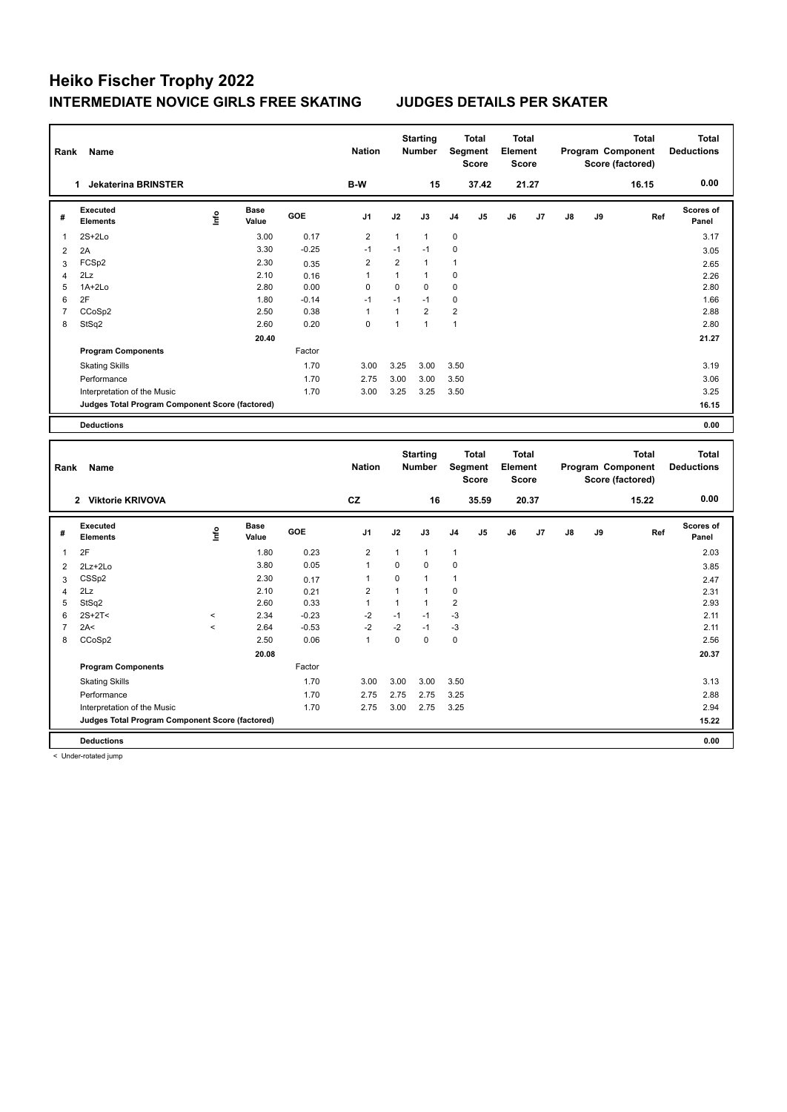| Rank                | Name                                                                           |         |                      |              | <b>Nation</b>                  |                | <b>Starting</b><br><b>Number</b> |                | <b>Total</b><br>Segment<br><b>Score</b> | <b>Total</b><br>Element<br><b>Score</b> |       |    |    | <b>Total</b><br>Program Component<br>Score (factored) | <b>Total</b><br><b>Deductions</b> |
|---------------------|--------------------------------------------------------------------------------|---------|----------------------|--------------|--------------------------------|----------------|----------------------------------|----------------|-----------------------------------------|-----------------------------------------|-------|----|----|-------------------------------------------------------|-----------------------------------|
|                     | 1 Jekaterina BRINSTER                                                          |         |                      |              | B-W                            |                | 15                               |                | 37.42                                   |                                         | 21.27 |    |    | 16.15                                                 | 0.00                              |
| #                   | <b>Executed</b><br><b>Elements</b>                                             | lnfo    | <b>Base</b><br>Value | GOE          | J <sub>1</sub>                 | J2             | J3                               | J4             | J5                                      | J6                                      | J7    | J8 | J9 | Ref                                                   | Scores of<br>Panel                |
| 1                   | $2S+2Lo$                                                                       |         | 3.00                 | 0.17         | $\overline{2}$                 | $\mathbf{1}$   | $\mathbf{1}$                     | $\pmb{0}$      |                                         |                                         |       |    |    |                                                       | 3.17                              |
| $\overline{2}$      | 2A                                                                             |         | 3.30                 | $-0.25$      | $-1$                           | $-1$           | $-1$                             | 0              |                                         |                                         |       |    |    |                                                       | 3.05                              |
| 3                   | FCS <sub>p2</sub>                                                              |         | 2.30                 | 0.35         | $\overline{2}$                 | $\overline{2}$ | $\mathbf{1}$                     | $\mathbf{1}$   |                                         |                                         |       |    |    |                                                       | 2.65                              |
| $\overline{4}$      | 2Lz                                                                            |         | 2.10                 | 0.16         | $\mathbf{1}$                   | $\mathbf{1}$   | $\mathbf{1}$                     | 0              |                                         |                                         |       |    |    |                                                       | 2.26                              |
| 5                   | $1A+2Lo$                                                                       |         | 2.80                 | 0.00         | $\Omega$                       | $\mathbf 0$    | 0                                | $\Omega$       |                                         |                                         |       |    |    |                                                       | 2.80                              |
| 6                   | 2F                                                                             |         | 1.80                 | $-0.14$      | $-1$                           | $-1$           | $-1$                             | 0              |                                         |                                         |       |    |    |                                                       | 1.66                              |
| $\overline{7}$      | CCoSp2                                                                         |         | 2.50                 | 0.38         | $\mathbf{1}$                   | $\mathbf{1}$   | $\overline{2}$                   | $\overline{2}$ |                                         |                                         |       |    |    |                                                       | 2.88                              |
| 8                   | StSq2                                                                          |         | 2.60                 | 0.20         | $\mathbf 0$                    | $\mathbf{1}$   | $\mathbf{1}$                     | $\mathbf{1}$   |                                         |                                         |       |    |    |                                                       | 2.80                              |
|                     |                                                                                |         | 20.40                |              |                                |                |                                  |                |                                         |                                         |       |    |    |                                                       | 21.27                             |
|                     | <b>Program Components</b>                                                      |         |                      | Factor       |                                |                |                                  |                |                                         |                                         |       |    |    |                                                       |                                   |
|                     | <b>Skating Skills</b>                                                          |         |                      | 1.70         | 3.00                           | 3.25           | 3.00                             | 3.50           |                                         |                                         |       |    |    |                                                       | 3.19                              |
|                     | Performance                                                                    |         |                      | 1.70         | 2.75                           | 3.00           | 3.00                             | 3.50           |                                         |                                         |       |    |    |                                                       | 3.06                              |
|                     | Interpretation of the Music                                                    |         |                      | 1.70         | 3.00                           | 3.25           | 3.25                             | 3.50           |                                         |                                         |       |    |    |                                                       | 3.25                              |
|                     | Judges Total Program Component Score (factored)                                |         |                      |              |                                |                |                                  |                |                                         |                                         |       |    |    |                                                       | 16.15                             |
|                     | <b>Deductions</b>                                                              |         |                      |              |                                |                |                                  |                |                                         |                                         |       |    |    |                                                       | 0.00                              |
|                     |                                                                                |         |                      |              |                                |                |                                  |                |                                         |                                         |       |    |    |                                                       |                                   |
|                     |                                                                                |         |                      |              |                                |                |                                  |                |                                         |                                         |       |    |    |                                                       |                                   |
|                     |                                                                                |         |                      |              |                                |                | <b>Starting</b>                  |                | <b>Total</b>                            | <b>Total</b>                            |       |    |    | <b>Total</b>                                          | <b>Total</b>                      |
| Rank                | Name                                                                           |         |                      |              | <b>Nation</b>                  |                | <b>Number</b>                    |                | Segment                                 | Element                                 |       |    |    | Program Component                                     | <b>Deductions</b>                 |
|                     |                                                                                |         |                      |              |                                |                |                                  |                | <b>Score</b>                            | <b>Score</b>                            |       |    |    | Score (factored)                                      |                                   |
|                     | 2 Viktorie KRIVOVA                                                             |         |                      |              | <b>CZ</b>                      |                | 16                               |                | 35.59                                   |                                         | 20.37 |    |    | 15.22                                                 | 0.00                              |
|                     |                                                                                |         |                      |              |                                |                |                                  |                |                                         |                                         |       |    |    |                                                       | Scores of                         |
| #                   | <b>Executed</b><br><b>Elements</b>                                             | lnfo    | <b>Base</b><br>Value | GOE          | J1                             | J2             | J3                               | J4             | J5                                      | J6                                      | J7    | J8 | J9 | Ref                                                   | Panel                             |
| 1                   | 2F                                                                             |         | 1.80                 |              |                                | $\mathbf{1}$   | $\mathbf{1}$                     | $\mathbf{1}$   |                                         |                                         |       |    |    |                                                       |                                   |
|                     |                                                                                |         |                      | 0.23         | $\overline{2}$<br>$\mathbf{1}$ | $\mathbf 0$    | 0                                | 0              |                                         |                                         |       |    |    |                                                       | 2.03                              |
| $\overline{c}$      | 2Lz+2Lo                                                                        |         | 3.80                 | 0.05         | $\mathbf{1}$                   | $\mathbf 0$    | $\mathbf{1}$                     | $\mathbf{1}$   |                                         |                                         |       |    |    |                                                       | 3.85                              |
| 3                   | CSS <sub>p2</sub><br>2Lz                                                       |         | 2.30<br>2.10         | 0.17         | $\overline{2}$                 | $\mathbf{1}$   | $\mathbf{1}$                     | $\mathbf 0$    |                                         |                                         |       |    |    |                                                       | 2.47                              |
| $\overline{4}$<br>5 |                                                                                |         | 2.60                 | 0.21<br>0.33 | $\mathbf{1}$                   | $\mathbf{1}$   | $\mathbf{1}$                     | $\overline{2}$ |                                         |                                         |       |    |    |                                                       | 2.31<br>2.93                      |
| 6                   | StSq2<br>$2S+2T<$                                                              | $\,<$   | 2.34                 | $-0.23$      | $-2$                           | $-1$           | $-1$                             | $-3$           |                                         |                                         |       |    |    |                                                       | 2.11                              |
| $\overline{7}$      | 2A<                                                                            | $\prec$ | 2.64                 | $-0.53$      | $-2$                           | $-2$           | $-1$                             | $-3$           |                                         |                                         |       |    |    |                                                       | 2.11                              |
| 8                   | CCoSp2                                                                         |         | 2.50                 | 0.06         | $\mathbf{1}$                   | $\mathbf 0$    | $\mathbf 0$                      | $\pmb{0}$      |                                         |                                         |       |    |    |                                                       | 2.56                              |
|                     |                                                                                |         | 20.08                |              |                                |                |                                  |                |                                         |                                         |       |    |    |                                                       | 20.37                             |
|                     | <b>Program Components</b>                                                      |         |                      | Factor       |                                |                |                                  |                |                                         |                                         |       |    |    |                                                       |                                   |
|                     |                                                                                |         |                      |              |                                |                |                                  |                |                                         |                                         |       |    |    |                                                       |                                   |
|                     | <b>Skating Skills</b>                                                          |         |                      | 1.70         | 3.00                           | 3.00           | 3.00                             | 3.50           |                                         |                                         |       |    |    |                                                       | 3.13                              |
|                     | Performance                                                                    |         |                      | 1.70         | 2.75                           | 2.75           | 2.75                             | 3.25           |                                         |                                         |       |    |    |                                                       | 2.88                              |
|                     | Interpretation of the Music<br>Judges Total Program Component Score (factored) |         |                      | 1.70         | 2.75                           | 3.00           | 2.75                             | 3.25           |                                         |                                         |       |    |    |                                                       | 2.94<br>15.22                     |

< Under-rotated jump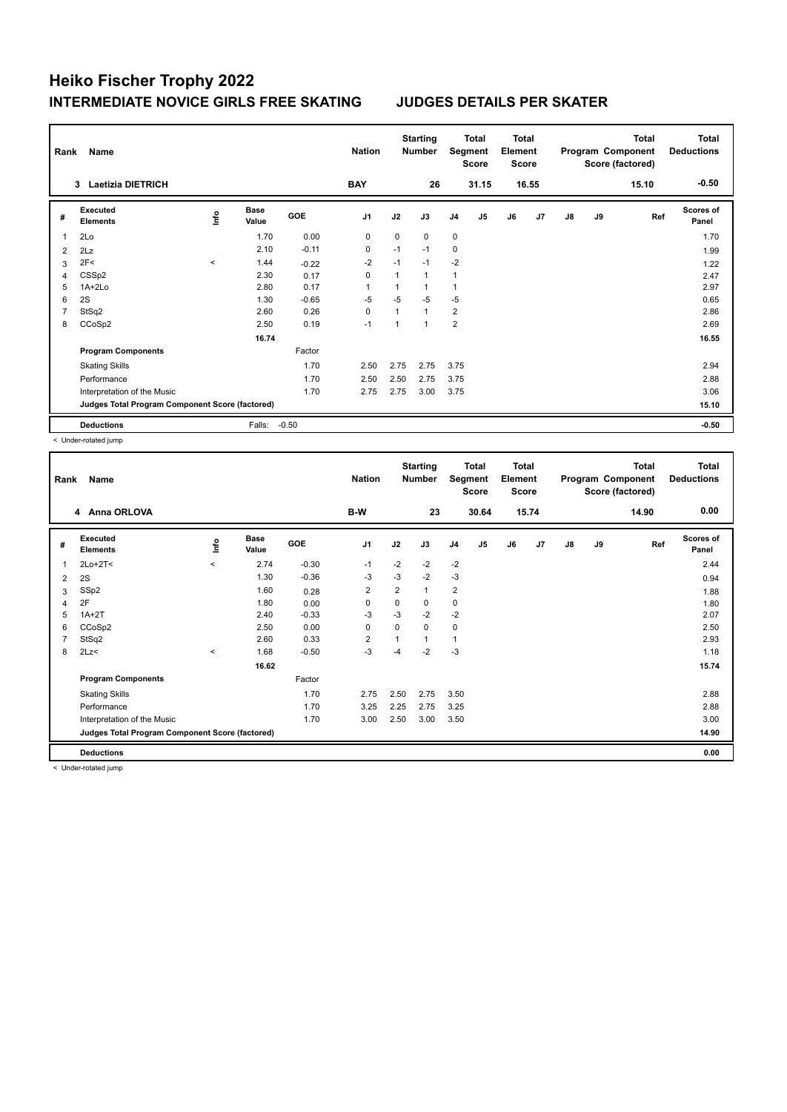| Rank<br>Name<br><b>Laetizia DIETRICH</b><br>3 |                                                 |         |                      |         |                |              | <b>Starting</b><br><b>Number</b> |                | Total<br>Segment<br><b>Score</b> | <b>Total</b><br>Element<br><b>Score</b> |       |    |    | <b>Total</b><br>Program Component<br>Score (factored) | <b>Total</b><br><b>Deductions</b> |
|-----------------------------------------------|-------------------------------------------------|---------|----------------------|---------|----------------|--------------|----------------------------------|----------------|----------------------------------|-----------------------------------------|-------|----|----|-------------------------------------------------------|-----------------------------------|
|                                               |                                                 |         |                      |         | <b>BAY</b>     |              | 26                               |                | 31.15                            |                                         | 16.55 |    |    | 15.10                                                 | $-0.50$                           |
| #                                             | Executed<br><b>Elements</b>                     | ۴ů      | <b>Base</b><br>Value | GOE     | J <sub>1</sub> | J2           | J3                               | J <sub>4</sub> | J5                               | J6                                      | J7    | J8 | J9 | Ref                                                   | <b>Scores of</b><br>Panel         |
| 1                                             | 2Lo                                             |         | 1.70                 | 0.00    | $\mathbf 0$    | $\mathbf 0$  | $\mathbf 0$                      | 0              |                                  |                                         |       |    |    |                                                       | 1.70                              |
| 2                                             | 2Lz                                             |         | 2.10                 | $-0.11$ | $\mathbf 0$    | $-1$         | $-1$                             | $\mathbf 0$    |                                  |                                         |       |    |    |                                                       | 1.99                              |
| 3                                             | 2F<                                             | $\prec$ | 1.44                 | $-0.22$ | $-2$           | $-1$         | $-1$                             | $-2$           |                                  |                                         |       |    |    |                                                       | 1.22                              |
| 4                                             | CSS <sub>p2</sub>                               |         | 2.30                 | 0.17    | $\mathbf 0$    | $\mathbf{1}$ | $\mathbf{1}$                     | 1              |                                  |                                         |       |    |    |                                                       | 2.47                              |
| 5                                             | $1A+2Lo$                                        |         | 2.80                 | 0.17    | $\overline{1}$ |              |                                  | 1              |                                  |                                         |       |    |    |                                                       | 2.97                              |
| 6                                             | 2S                                              |         | 1.30                 | $-0.65$ | $-5$           | $-5$         | $-5$                             | $-5$           |                                  |                                         |       |    |    |                                                       | 0.65                              |
| 7                                             | StSq2                                           |         | 2.60                 | 0.26    | $\Omega$       | $\mathbf{1}$ | $\overline{1}$                   | $\overline{2}$ |                                  |                                         |       |    |    |                                                       | 2.86                              |
| 8                                             | CCoSp2                                          |         | 2.50                 | 0.19    | $-1$           | 1            | 1                                | $\overline{2}$ |                                  |                                         |       |    |    |                                                       | 2.69                              |
|                                               |                                                 |         | 16.74                |         |                |              |                                  |                |                                  |                                         |       |    |    |                                                       | 16.55                             |
|                                               | <b>Program Components</b>                       |         |                      | Factor  |                |              |                                  |                |                                  |                                         |       |    |    |                                                       |                                   |
|                                               | <b>Skating Skills</b>                           |         |                      | 1.70    | 2.50           | 2.75         | 2.75                             | 3.75           |                                  |                                         |       |    |    |                                                       | 2.94                              |
|                                               | Performance                                     |         |                      | 1.70    | 2.50           | 2.50         | 2.75                             | 3.75           |                                  |                                         |       |    |    |                                                       | 2.88                              |
|                                               | Interpretation of the Music                     |         |                      | 1.70    | 2.75           | 2.75         | 3.00                             | 3.75           |                                  |                                         |       |    |    |                                                       | 3.06                              |
|                                               | Judges Total Program Component Score (factored) |         |                      |         |                |              |                                  |                |                                  |                                         |       |    |    |                                                       | 15.10                             |
|                                               | <b>Deductions</b>                               |         | Falls:               | $-0.50$ |                |              |                                  |                |                                  |                                         |       |    |    |                                                       | $-0.50$                           |

< Under-rotated jump

| Rank           | Name                                            | <b>Nation</b> |                      | <b>Starting</b><br><b>Number</b> |                | <b>Total</b><br>Segment<br><b>Score</b> | <b>Total</b><br>Element<br><b>Score</b> |                |       |    | Total<br>Program Component<br>Score (factored) | <b>Total</b><br><b>Deductions</b> |    |       |                           |
|----------------|-------------------------------------------------|---------------|----------------------|----------------------------------|----------------|-----------------------------------------|-----------------------------------------|----------------|-------|----|------------------------------------------------|-----------------------------------|----|-------|---------------------------|
|                | 4 Anna ORLOVA                                   |               |                      |                                  | B-W            |                                         | 23                                      |                | 30.64 |    | 15.74                                          |                                   |    | 14.90 | 0.00                      |
| #              | Executed<br><b>Elements</b>                     | Lnfo          | <b>Base</b><br>Value | GOE                              | J <sub>1</sub> | J2                                      | J3                                      | J <sub>4</sub> | J5    | J6 | J7                                             | $\mathsf{J}8$                     | J9 | Ref   | <b>Scores of</b><br>Panel |
| 1              | $2Lo+2T<$                                       | $\prec$       | 2.74                 | $-0.30$                          | $-1$           | $-2$                                    | $-2$                                    | $-2$           |       |    |                                                |                                   |    |       | 2.44                      |
| 2              | 2S                                              |               | 1.30                 | $-0.36$                          | -3             | $-3$                                    | $-2$                                    | $-3$           |       |    |                                                |                                   |    |       | 0.94                      |
| 3              | SSp2                                            |               | 1.60                 | 0.28                             | $\overline{2}$ | 2                                       | 1                                       | $\overline{2}$ |       |    |                                                |                                   |    |       | 1.88                      |
| $\overline{4}$ | 2F                                              |               | 1.80                 | 0.00                             | 0              | $\mathbf 0$                             | 0                                       | 0              |       |    |                                                |                                   |    |       | 1.80                      |
| 5              | $1A+2T$                                         |               | 2.40                 | $-0.33$                          | $-3$           | $-3$                                    | $-2$                                    | $-2$           |       |    |                                                |                                   |    |       | 2.07                      |
| 6              | CCoSp2                                          |               | 2.50                 | 0.00                             | $\mathbf 0$    | $\mathbf 0$                             | 0                                       | $\pmb{0}$      |       |    |                                                |                                   |    |       | 2.50                      |
| $\overline{7}$ | StSq2                                           |               | 2.60                 | 0.33                             | $\overline{2}$ |                                         | $\mathbf{1}$                            | $\mathbf{1}$   |       |    |                                                |                                   |    |       | 2.93                      |
| 8              | 2Lz                                             | $\,<\,$       | 1.68                 | $-0.50$                          | $-3$           | -4                                      | $-2$                                    | $-3$           |       |    |                                                |                                   |    |       | 1.18                      |
|                |                                                 |               | 16.62                |                                  |                |                                         |                                         |                |       |    |                                                |                                   |    |       | 15.74                     |
|                | <b>Program Components</b>                       |               |                      | Factor                           |                |                                         |                                         |                |       |    |                                                |                                   |    |       |                           |
|                | <b>Skating Skills</b>                           |               |                      | 1.70                             | 2.75           | 2.50                                    | 2.75                                    | 3.50           |       |    |                                                |                                   |    |       | 2.88                      |
|                | Performance                                     |               |                      | 1.70                             | 3.25           | 2.25                                    | 2.75                                    | 3.25           |       |    |                                                |                                   |    |       | 2.88                      |
|                | Interpretation of the Music                     |               |                      | 1.70                             | 3.00           | 2.50                                    | 3.00                                    | 3.50           |       |    |                                                |                                   |    |       | 3.00                      |
|                | Judges Total Program Component Score (factored) |               |                      |                                  |                |                                         |                                         |                |       |    |                                                |                                   |    |       | 14.90                     |
|                | <b>Deductions</b>                               |               |                      |                                  |                |                                         |                                         |                |       |    |                                                |                                   |    |       | 0.00                      |

< Under-rotated jump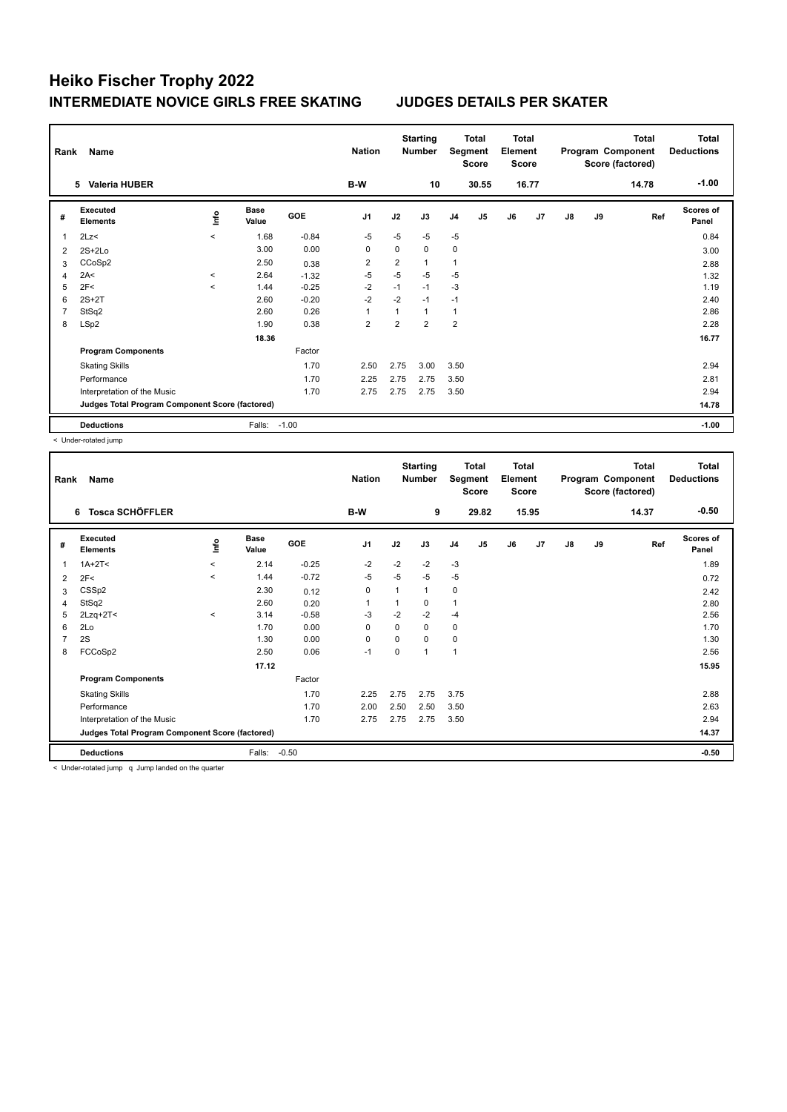| Rank | Name                                            |              |                      |         | <b>Nation</b>  |                | <b>Starting</b><br><b>Number</b> |                | Total<br>Segment<br><b>Score</b> | <b>Total</b><br>Element<br><b>Score</b> |       |    |    | <b>Total</b><br>Program Component<br>Score (factored) | <b>Total</b><br><b>Deductions</b> |
|------|-------------------------------------------------|--------------|----------------------|---------|----------------|----------------|----------------------------------|----------------|----------------------------------|-----------------------------------------|-------|----|----|-------------------------------------------------------|-----------------------------------|
|      | <b>Valeria HUBER</b><br>5.                      |              |                      |         | B-W            |                | 10                               |                | 30.55                            |                                         | 16.77 |    |    | 14.78                                                 | $-1.00$                           |
| #    | Executed<br><b>Elements</b>                     | lnfo         | <b>Base</b><br>Value | GOE     | J <sub>1</sub> | J2             | J3                               | J <sub>4</sub> | J5                               | J6                                      | J7    | J8 | J9 | Ref                                                   | <b>Scores of</b><br>Panel         |
| 1    | 2Lz<                                            | $\prec$      | 1.68                 | $-0.84$ | $-5$           | $-5$           | $-5$                             | $-5$           |                                  |                                         |       |    |    |                                                       | 0.84                              |
| 2    | $2S+2Lo$                                        |              | 3.00                 | 0.00    | $\mathbf 0$    | $\mathbf 0$    | $\mathbf 0$                      | 0              |                                  |                                         |       |    |    |                                                       | 3.00                              |
| 3    | CCoSp2                                          |              | 2.50                 | 0.38    | 2              | $\overline{2}$ | 1                                | 1              |                                  |                                         |       |    |    |                                                       | 2.88                              |
| 4    | 2A<                                             | $\checkmark$ | 2.64                 | $-1.32$ | $-5$           | $-5$           | $-5$                             | $-5$           |                                  |                                         |       |    |    |                                                       | 1.32                              |
| 5    | 2F<                                             | $\prec$      | 1.44                 | $-0.25$ | $-2$           | $-1$           | $-1$                             | $-3$           |                                  |                                         |       |    |    |                                                       | 1.19                              |
| 6    | $2S+2T$                                         |              | 2.60                 | $-0.20$ | $-2$           | $-2$           | $-1$                             | $-1$           |                                  |                                         |       |    |    |                                                       | 2.40                              |
| 7    | StSq2                                           |              | 2.60                 | 0.26    | $\overline{1}$ | 1              | $\mathbf{1}$                     | 1              |                                  |                                         |       |    |    |                                                       | 2.86                              |
| 8    | LSp2                                            |              | 1.90                 | 0.38    | $\overline{2}$ | $\overline{2}$ | $\overline{2}$                   | $\overline{2}$ |                                  |                                         |       |    |    |                                                       | 2.28                              |
|      |                                                 |              | 18.36                |         |                |                |                                  |                |                                  |                                         |       |    |    |                                                       | 16.77                             |
|      | <b>Program Components</b>                       |              |                      | Factor  |                |                |                                  |                |                                  |                                         |       |    |    |                                                       |                                   |
|      | <b>Skating Skills</b>                           |              |                      | 1.70    | 2.50           | 2.75           | 3.00                             | 3.50           |                                  |                                         |       |    |    |                                                       | 2.94                              |
|      | Performance                                     |              |                      | 1.70    | 2.25           | 2.75           | 2.75                             | 3.50           |                                  |                                         |       |    |    |                                                       | 2.81                              |
|      | Interpretation of the Music                     |              |                      | 1.70    | 2.75           | 2.75           | 2.75                             | 3.50           |                                  |                                         |       |    |    |                                                       | 2.94                              |
|      | Judges Total Program Component Score (factored) |              |                      |         |                |                |                                  |                |                                  |                                         |       |    |    |                                                       | 14.78                             |
|      | <b>Deductions</b>                               |              | Falls:               | $-1.00$ |                |                |                                  |                |                                  |                                         |       |    |    |                                                       | $-1.00$                           |

< Under-rotated jump

| Rank           | Name                                            |             |                      |         | <b>Nation</b>  |          | <b>Starting</b><br><b>Number</b> |                | <b>Total</b><br>Segment<br><b>Score</b> | <b>Total</b><br>Element<br><b>Score</b> |       |               |    | <b>Total</b><br>Program Component<br>Score (factored) | <b>Total</b><br><b>Deductions</b> |
|----------------|-------------------------------------------------|-------------|----------------------|---------|----------------|----------|----------------------------------|----------------|-----------------------------------------|-----------------------------------------|-------|---------------|----|-------------------------------------------------------|-----------------------------------|
|                | 6 Tosca SCHÖFFLER                               |             |                      |         | B-W            |          | 9                                |                | 29.82                                   |                                         | 15.95 |               |    | 14.37                                                 | $-0.50$                           |
| #              | Executed<br><b>Elements</b>                     | <u>lnfo</u> | <b>Base</b><br>Value | GOE     | J <sub>1</sub> | J2       | J3                               | J <sub>4</sub> | J5                                      | J6                                      | J7    | $\mathsf{J}8$ | J9 | Ref                                                   | <b>Scores of</b><br>Panel         |
| 1              | $1A+2T<$                                        | $\hat{}$    | 2.14                 | $-0.25$ | $-2$           | $-2$     | $-2$                             | $-3$           |                                         |                                         |       |               |    |                                                       | 1.89                              |
| 2              | 2F<                                             | $\prec$     | 1.44                 | $-0.72$ | $-5$           | $-5$     | $-5$                             | $-5$           |                                         |                                         |       |               |    |                                                       | 0.72                              |
| 3              | CSS <sub>p2</sub>                               |             | 2.30                 | 0.12    | 0              |          | 1                                | 0              |                                         |                                         |       |               |    |                                                       | 2.42                              |
| $\overline{4}$ | StSq2                                           |             | 2.60                 | 0.20    | 1              |          | 0                                | $\overline{1}$ |                                         |                                         |       |               |    |                                                       | 2.80                              |
| 5              | $2Lzq+2T<$                                      | $\hat{}$    | 3.14                 | $-0.58$ | $-3$           | $-2$     | $-2$                             | $-4$           |                                         |                                         |       |               |    |                                                       | 2.56                              |
| 6              | 2Lo                                             |             | 1.70                 | 0.00    | 0              | $\Omega$ | 0                                | 0              |                                         |                                         |       |               |    |                                                       | 1.70                              |
| $\overline{7}$ | 2S                                              |             | 1.30                 | 0.00    | $\mathbf 0$    | $\Omega$ | 0                                | $\pmb{0}$      |                                         |                                         |       |               |    |                                                       | 1.30                              |
| 8              | FCCoSp2                                         |             | 2.50                 | 0.06    | $-1$           | 0        | $\mathbf{1}$                     | $\mathbf{1}$   |                                         |                                         |       |               |    |                                                       | 2.56                              |
|                |                                                 |             | 17.12                |         |                |          |                                  |                |                                         |                                         |       |               |    |                                                       | 15.95                             |
|                | <b>Program Components</b>                       |             |                      | Factor  |                |          |                                  |                |                                         |                                         |       |               |    |                                                       |                                   |
|                | <b>Skating Skills</b>                           |             |                      | 1.70    | 2.25           | 2.75     | 2.75                             | 3.75           |                                         |                                         |       |               |    |                                                       | 2.88                              |
|                | Performance                                     |             |                      | 1.70    | 2.00           | 2.50     | 2.50                             | 3.50           |                                         |                                         |       |               |    |                                                       | 2.63                              |
|                | Interpretation of the Music                     |             |                      | 1.70    | 2.75           | 2.75     | 2.75                             | 3.50           |                                         |                                         |       |               |    |                                                       | 2.94                              |
|                | Judges Total Program Component Score (factored) |             |                      |         |                |          |                                  |                |                                         |                                         |       |               |    |                                                       | 14.37                             |
|                | <b>Deductions</b>                               |             | Falls:               | $-0.50$ |                |          |                                  |                |                                         |                                         |       |               |    |                                                       | $-0.50$                           |

< Under-rotated jump q Jump landed on the quarter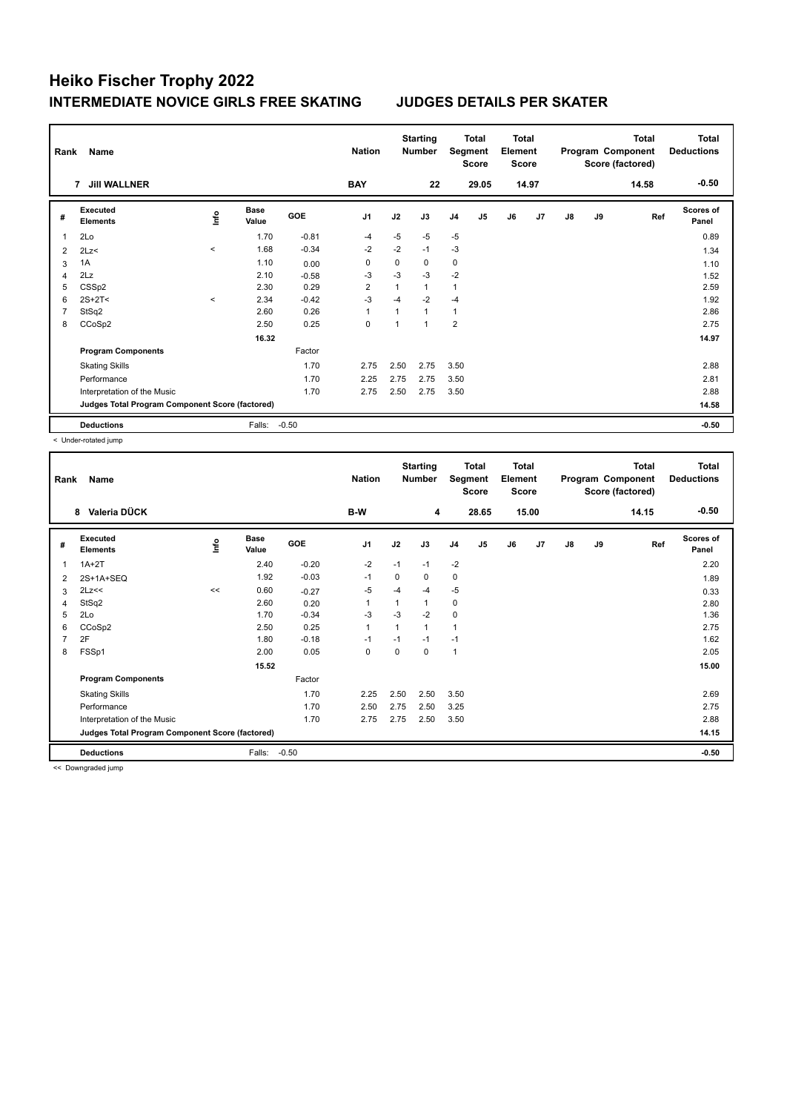| Rank | Name                                            | <b>Nation</b>       |                      | <b>Starting</b><br><b>Number</b> |                | Total<br>Segment<br><b>Score</b> | <b>Total</b><br>Element<br><b>Score</b> |                |       |    | <b>Total</b><br>Program Component<br>Score (factored) | <b>Total</b><br><b>Deductions</b> |    |       |                           |
|------|-------------------------------------------------|---------------------|----------------------|----------------------------------|----------------|----------------------------------|-----------------------------------------|----------------|-------|----|-------------------------------------------------------|-----------------------------------|----|-------|---------------------------|
|      | <b>Jill WALLNER</b><br>7                        |                     |                      |                                  | <b>BAY</b>     |                                  | 22                                      |                | 29.05 |    | 14.97                                                 |                                   |    | 14.58 | $-0.50$                   |
| #    | Executed<br><b>Elements</b>                     | lnfo                | <b>Base</b><br>Value | GOE                              | J <sub>1</sub> | J2                               | J3                                      | J <sub>4</sub> | J5    | J6 | J7                                                    | $\mathsf{J}8$                     | J9 | Ref   | <b>Scores of</b><br>Panel |
| 1    | 2Lo                                             |                     | 1.70                 | $-0.81$                          | $-4$           | $-5$                             | $-5$                                    | $-5$           |       |    |                                                       |                                   |    |       | 0.89                      |
| 2    | 2Lz                                             | $\hat{\phantom{a}}$ | 1.68                 | $-0.34$                          | $-2$           | $-2$                             | $-1$                                    | $-3$           |       |    |                                                       |                                   |    |       | 1.34                      |
| 3    | 1A                                              |                     | 1.10                 | 0.00                             | $\Omega$       | $\Omega$                         | $\Omega$                                | 0              |       |    |                                                       |                                   |    |       | 1.10                      |
| 4    | 2Lz                                             |                     | 2.10                 | $-0.58$                          | $-3$           | $-3$                             | $-3$                                    | $-2$           |       |    |                                                       |                                   |    |       | 1.52                      |
| 5    | CSSp2                                           |                     | 2.30                 | 0.29                             | $\overline{2}$ | 1                                | $\mathbf{1}$                            | 1              |       |    |                                                       |                                   |    |       | 2.59                      |
| 6    | $2S+2T<$                                        | $\hat{}$            | 2.34                 | $-0.42$                          | $-3$           | $-4$                             | $-2$                                    | $-4$           |       |    |                                                       |                                   |    |       | 1.92                      |
| 7    | StSq2                                           |                     | 2.60                 | 0.26                             | $\overline{1}$ | 1                                | $\mathbf{1}$                            | 1              |       |    |                                                       |                                   |    |       | 2.86                      |
| 8    | CCoSp2                                          |                     | 2.50                 | 0.25                             | $\mathbf 0$    | 1                                | $\overline{1}$                          | $\overline{2}$ |       |    |                                                       |                                   |    |       | 2.75                      |
|      |                                                 |                     | 16.32                |                                  |                |                                  |                                         |                |       |    |                                                       |                                   |    |       | 14.97                     |
|      | <b>Program Components</b>                       |                     |                      | Factor                           |                |                                  |                                         |                |       |    |                                                       |                                   |    |       |                           |
|      | <b>Skating Skills</b>                           |                     |                      | 1.70                             | 2.75           | 2.50                             | 2.75                                    | 3.50           |       |    |                                                       |                                   |    |       | 2.88                      |
|      | Performance                                     |                     |                      | 1.70                             | 2.25           | 2.75                             | 2.75                                    | 3.50           |       |    |                                                       |                                   |    |       | 2.81                      |
|      | Interpretation of the Music                     |                     |                      | 1.70                             | 2.75           | 2.50                             | 2.75                                    | 3.50           |       |    |                                                       |                                   |    |       | 2.88                      |
|      | Judges Total Program Component Score (factored) |                     |                      |                                  |                |                                  |                                         |                |       |    |                                                       |                                   |    |       | 14.58                     |
|      | <b>Deductions</b>                               |                     | Falls:               | $-0.50$                          |                |                                  |                                         |                |       |    |                                                       |                                   |    |       | $-0.50$                   |

< Under-rotated jump

| Rank           | <b>Name</b>                                     |      | <b>Nation</b>        |            | <b>Starting</b><br><b>Number</b> | Segment                 | Total<br><b>Score</b> | <b>Total</b><br>Element<br><b>Score</b> |       |    |       | <b>Total</b><br>Program Component<br>Score (factored) | Total<br><b>Deductions</b> |       |                           |
|----------------|-------------------------------------------------|------|----------------------|------------|----------------------------------|-------------------------|-----------------------|-----------------------------------------|-------|----|-------|-------------------------------------------------------|----------------------------|-------|---------------------------|
|                | Valeria DÜCK<br>8                               |      |                      |            | B-W                              |                         | 4                     |                                         | 28.65 |    | 15.00 |                                                       |                            | 14.15 | $-0.50$                   |
| #              | Executed<br><b>Elements</b>                     | lnfo | <b>Base</b><br>Value | <b>GOE</b> | J1                               | J2                      | J3                    | J <sub>4</sub>                          | J5    | J6 | J7    | $\mathsf{J}8$                                         | J9                         | Ref   | <b>Scores of</b><br>Panel |
| 1              | $1A+2T$                                         |      | 2.40                 | $-0.20$    | $-2$                             | $-1$                    | $-1$                  | $-2$                                    |       |    |       |                                                       |                            |       | 2.20                      |
| 2              | 2S+1A+SEQ                                       |      | 1.92                 | $-0.03$    | $-1$                             | 0                       | 0                     | 0                                       |       |    |       |                                                       |                            |       | 1.89                      |
| 3              | 2Lz<<                                           | <<   | 0.60                 | $-0.27$    | $-5$                             | $-4$                    | $-4$                  | $-5$                                    |       |    |       |                                                       |                            |       | 0.33                      |
| $\overline{4}$ | StSq2                                           |      | 2.60                 | 0.20       | $\mathbf{1}$                     | $\overline{1}$          | 1                     | 0                                       |       |    |       |                                                       |                            |       | 2.80                      |
| 5              | 2Lo                                             |      | 1.70                 | $-0.34$    | $-3$                             | $-3$                    | $-2$                  | $\mathbf 0$                             |       |    |       |                                                       |                            |       | 1.36                      |
| 6              | CCoSp2                                          |      | 2.50                 | 0.25       | $\mathbf{1}$                     | $\overline{\mathbf{1}}$ | $\mathbf{1}$          | $\mathbf{1}$                            |       |    |       |                                                       |                            |       | 2.75                      |
| $\overline{7}$ | 2F                                              |      | 1.80                 | $-0.18$    | $-1$                             | $-1$                    | $-1$                  | $-1$                                    |       |    |       |                                                       |                            |       | 1.62                      |
| 8              | FSSp1                                           |      | 2.00                 | 0.05       | 0                                | 0                       | 0                     | $\overline{1}$                          |       |    |       |                                                       |                            |       | 2.05                      |
|                |                                                 |      | 15.52                |            |                                  |                         |                       |                                         |       |    |       |                                                       |                            |       | 15.00                     |
|                | <b>Program Components</b>                       |      |                      | Factor     |                                  |                         |                       |                                         |       |    |       |                                                       |                            |       |                           |
|                | <b>Skating Skills</b>                           |      |                      | 1.70       | 2.25                             | 2.50                    | 2.50                  | 3.50                                    |       |    |       |                                                       |                            |       | 2.69                      |
|                | Performance                                     |      |                      | 1.70       | 2.50                             | 2.75                    | 2.50                  | 3.25                                    |       |    |       |                                                       |                            |       | 2.75                      |
|                | Interpretation of the Music                     |      |                      | 1.70       | 2.75                             | 2.75                    | 2.50                  | 3.50                                    |       |    |       |                                                       |                            |       | 2.88                      |
|                | Judges Total Program Component Score (factored) |      |                      |            |                                  |                         |                       |                                         |       |    |       |                                                       |                            |       | 14.15                     |
|                | <b>Deductions</b>                               |      | Falls:               | $-0.50$    |                                  |                         |                       |                                         |       |    |       |                                                       |                            |       | $-0.50$                   |

<< Downgraded jump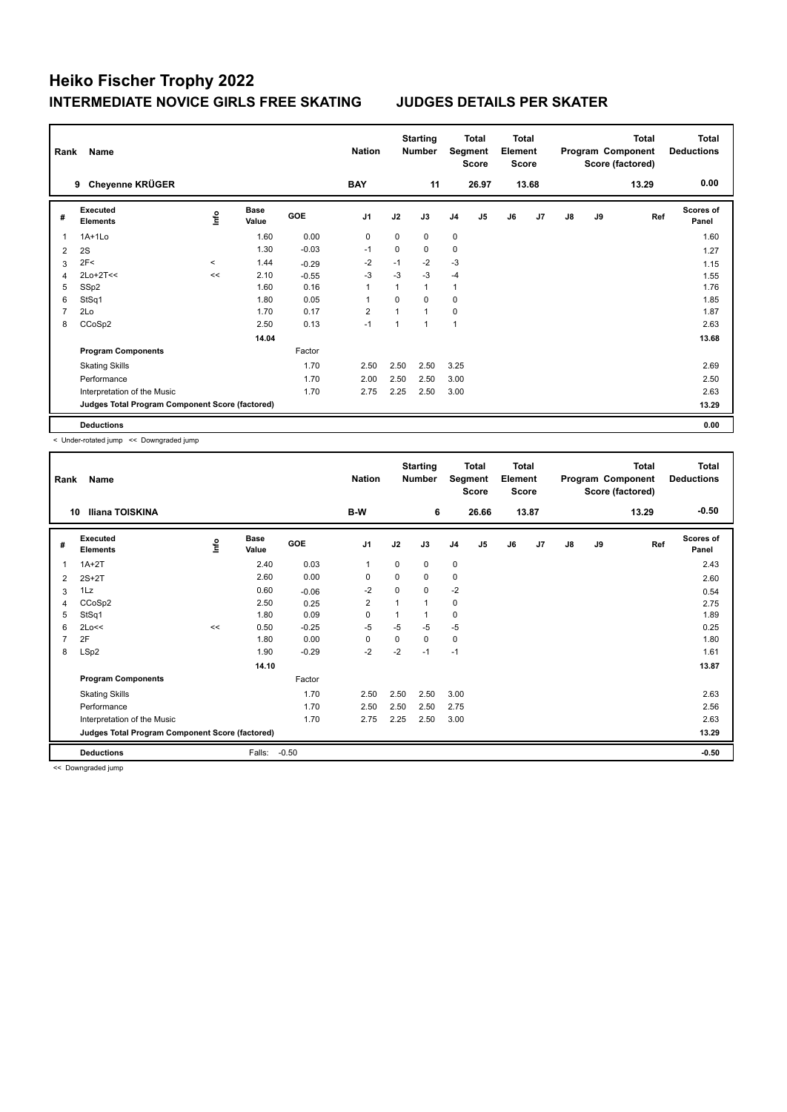| Rank | Name                                            | <b>Nation</b> |                      | <b>Starting</b><br>Number | Segment        | <b>Total</b><br><b>Score</b> | Total<br>Element<br><b>Score</b> |                |                |    | <b>Total</b><br>Program Component<br>Score (factored) | <b>Total</b><br><b>Deductions</b> |    |       |                           |
|------|-------------------------------------------------|---------------|----------------------|---------------------------|----------------|------------------------------|----------------------------------|----------------|----------------|----|-------------------------------------------------------|-----------------------------------|----|-------|---------------------------|
|      | Cheyenne KRÜGER<br>9                            |               |                      |                           | <b>BAY</b>     |                              | 11                               |                | 26.97          |    | 13.68                                                 |                                   |    | 13.29 | 0.00                      |
| #    | Executed<br><b>Elements</b>                     | ١nf٥          | <b>Base</b><br>Value | <b>GOE</b>                | J <sub>1</sub> | J2                           | J3                               | J <sub>4</sub> | J <sub>5</sub> | J6 | J7                                                    | $\mathsf{J}8$                     | J9 | Ref   | <b>Scores of</b><br>Panel |
| 1    | $1A+1Lo$                                        |               | 1.60                 | 0.00                      | $\mathbf 0$    | $\Omega$                     | $\Omega$                         | $\mathbf 0$    |                |    |                                                       |                                   |    |       | 1.60                      |
| 2    | 2S                                              |               | 1.30                 | $-0.03$                   | $-1$           | 0                            | 0                                | $\pmb{0}$      |                |    |                                                       |                                   |    |       | 1.27                      |
| 3    | 2F<                                             | $\prec$       | 1.44                 | $-0.29$                   | $-2$           | $-1$                         | $-2$                             | $-3$           |                |    |                                                       |                                   |    |       | 1.15                      |
| 4    | $2Lo+2T<<$                                      | <<            | 2.10                 | $-0.55$                   | $-3$           | $-3$                         | $-3$                             | $-4$           |                |    |                                                       |                                   |    |       | 1.55                      |
| 5    | SSp2                                            |               | 1.60                 | 0.16                      | 1              |                              | $\mathbf{1}$                     | 1              |                |    |                                                       |                                   |    |       | 1.76                      |
| 6    | StSq1                                           |               | 1.80                 | 0.05                      |                | $\Omega$                     | $\Omega$                         | $\mathbf 0$    |                |    |                                                       |                                   |    |       | 1.85                      |
| 7    | 2Lo                                             |               | 1.70                 | 0.17                      | $\overline{2}$ |                              | $\mathbf{1}$                     | 0              |                |    |                                                       |                                   |    |       | 1.87                      |
| 8    | CCoSp2                                          |               | 2.50                 | 0.13                      | $-1$           | 1                            | $\mathbf{1}$                     | 1              |                |    |                                                       |                                   |    |       | 2.63                      |
|      |                                                 |               | 14.04                |                           |                |                              |                                  |                |                |    |                                                       |                                   |    |       | 13.68                     |
|      | <b>Program Components</b>                       |               |                      | Factor                    |                |                              |                                  |                |                |    |                                                       |                                   |    |       |                           |
|      | <b>Skating Skills</b>                           |               |                      | 1.70                      | 2.50           | 2.50                         | 2.50                             | 3.25           |                |    |                                                       |                                   |    |       | 2.69                      |
|      | Performance                                     |               |                      | 1.70                      | 2.00           | 2.50                         | 2.50                             | 3.00           |                |    |                                                       |                                   |    |       | 2.50                      |
|      | Interpretation of the Music                     |               |                      | 1.70                      | 2.75           | 2.25                         | 2.50                             | 3.00           |                |    |                                                       |                                   |    |       | 2.63                      |
|      | Judges Total Program Component Score (factored) |               |                      |                           |                |                              |                                  |                |                |    |                                                       |                                   |    |       | 13.29                     |
|      | <b>Deductions</b>                               |               |                      |                           |                |                              |                                  |                |                |    |                                                       |                                   |    |       | 0.00                      |

< Under-rotated jump << Downgraded jump

| Rank           | Name                                            |      |                      |         | <b>Nation</b> |          | <b>Starting</b><br><b>Number</b> |                | <b>Total</b><br>Segment<br>Score | <b>Total</b><br>Element<br>Score |       |               |    | Total<br>Program Component<br>Score (factored) | Total<br><b>Deductions</b> |
|----------------|-------------------------------------------------|------|----------------------|---------|---------------|----------|----------------------------------|----------------|----------------------------------|----------------------------------|-------|---------------|----|------------------------------------------------|----------------------------|
| 10             | Iliana TOISKINA                                 |      |                      |         | B-W           |          | 6                                |                | 26.66                            |                                  | 13.87 |               |    | 13.29                                          | $-0.50$                    |
| #              | Executed<br><b>Elements</b>                     | ١nf٥ | <b>Base</b><br>Value | GOE     | J1            | J2       | J3                               | J <sub>4</sub> | J <sub>5</sub>                   | J6                               | J7    | $\mathsf{J}8$ | J9 | Ref                                            | <b>Scores of</b><br>Panel  |
| 1              | $1A+2T$                                         |      | 2.40                 | 0.03    | 1             | 0        | 0                                | 0              |                                  |                                  |       |               |    |                                                | 2.43                       |
| 2              | $2S+2T$                                         |      | 2.60                 | 0.00    | $\mathbf 0$   | 0        | 0                                | 0              |                                  |                                  |       |               |    |                                                | 2.60                       |
| 3              | 1Lz                                             |      | 0.60                 | $-0.06$ | $-2$          | 0        | 0                                | $-2$           |                                  |                                  |       |               |    |                                                | 0.54                       |
| 4              | CCoSp2                                          |      | 2.50                 | 0.25    | 2             | 1        | 1                                | 0              |                                  |                                  |       |               |    |                                                | 2.75                       |
| 5              | StSq1                                           |      | 1.80                 | 0.09    | $\mathbf 0$   | 1        | 1                                | 0              |                                  |                                  |       |               |    |                                                | 1.89                       |
| 6              | 2Lo<<                                           | <<   | 0.50                 | $-0.25$ | $-5$          | $-5$     | $-5$                             | $-5$           |                                  |                                  |       |               |    |                                                | 0.25                       |
| $\overline{7}$ | 2F                                              |      | 1.80                 | 0.00    | $\Omega$      | $\Omega$ | 0                                | 0              |                                  |                                  |       |               |    |                                                | 1.80                       |
| 8              | LSp2                                            |      | 1.90                 | $-0.29$ | $-2$          | $-2$     | $-1$                             | $-1$           |                                  |                                  |       |               |    |                                                | 1.61                       |
|                |                                                 |      | 14.10                |         |               |          |                                  |                |                                  |                                  |       |               |    |                                                | 13.87                      |
|                | <b>Program Components</b>                       |      |                      | Factor  |               |          |                                  |                |                                  |                                  |       |               |    |                                                |                            |
|                | <b>Skating Skills</b>                           |      |                      | 1.70    | 2.50          | 2.50     | 2.50                             | 3.00           |                                  |                                  |       |               |    |                                                | 2.63                       |
|                | Performance                                     |      |                      | 1.70    | 2.50          | 2.50     | 2.50                             | 2.75           |                                  |                                  |       |               |    |                                                | 2.56                       |
|                | Interpretation of the Music                     |      |                      | 1.70    | 2.75          | 2.25     | 2.50                             | 3.00           |                                  |                                  |       |               |    |                                                | 2.63                       |
|                | Judges Total Program Component Score (factored) |      |                      |         |               |          |                                  |                |                                  |                                  |       |               |    |                                                | 13.29                      |
|                | <b>Deductions</b>                               |      | Falls:               | $-0.50$ |               |          |                                  |                |                                  |                                  |       |               |    |                                                | $-0.50$                    |

<< Downgraded jump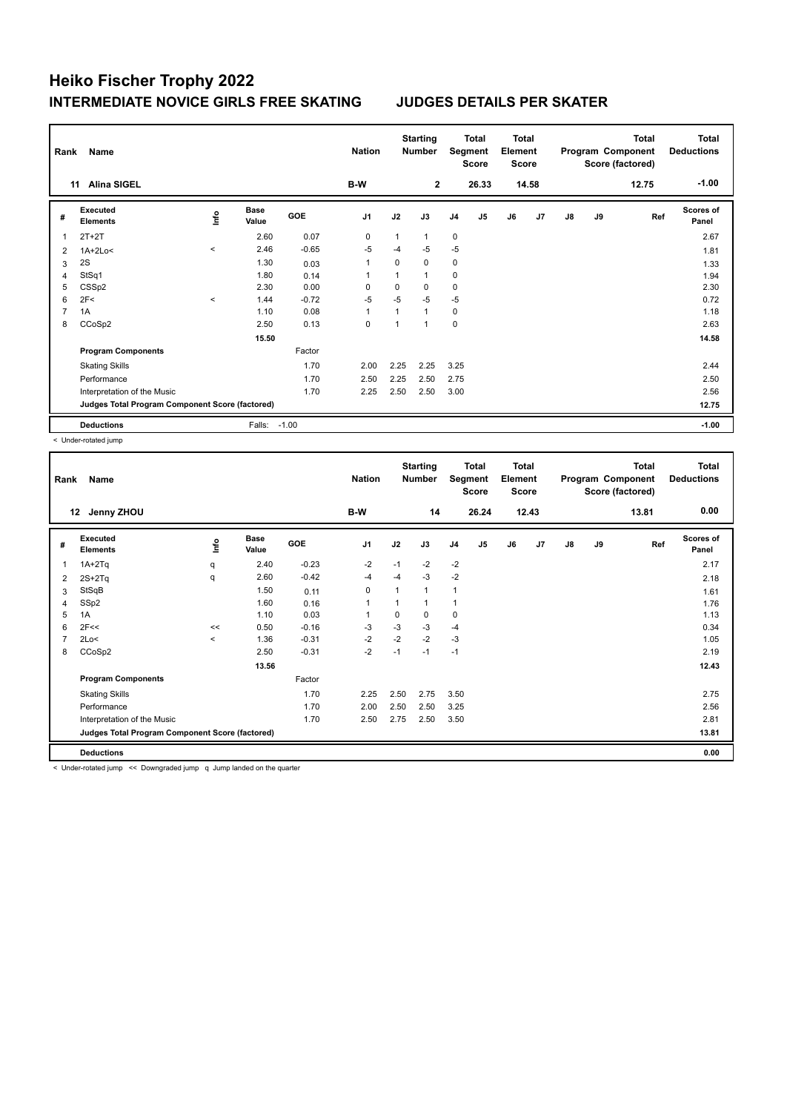| Rank           | Name                                            |           |                      |         | <b>Nation</b>  |      | <b>Starting</b><br><b>Number</b> |                | Total<br>Segment<br><b>Score</b> | <b>Total</b><br>Element<br><b>Score</b> |       |               |    | <b>Total</b><br>Program Component<br>Score (factored) | <b>Total</b><br><b>Deductions</b> |
|----------------|-------------------------------------------------|-----------|----------------------|---------|----------------|------|----------------------------------|----------------|----------------------------------|-----------------------------------------|-------|---------------|----|-------------------------------------------------------|-----------------------------------|
|                | <b>Alina SIGEL</b><br>11                        |           |                      |         | B-W            |      | $\mathbf{2}$                     |                | 26.33                            |                                         | 14.58 |               |    | 12.75                                                 | $-1.00$                           |
| #              | Executed<br><b>Elements</b>                     | ١nf٥      | <b>Base</b><br>Value | GOE     | J <sub>1</sub> | J2   | J3                               | J <sub>4</sub> | J5                               | J6                                      | J7    | $\mathsf{J}8$ | J9 | Ref                                                   | <b>Scores of</b><br>Panel         |
|                | $2T+2T$                                         |           | 2.60                 | 0.07    | 0              | 1    | $\mathbf{1}$                     | $\mathbf 0$    |                                  |                                         |       |               |    |                                                       | 2.67                              |
| $\overline{2}$ | $1A+2Lo<$                                       | $\hat{~}$ | 2.46                 | $-0.65$ | $-5$           | $-4$ | $-5$                             | $-5$           |                                  |                                         |       |               |    |                                                       | 1.81                              |
| 3              | 2S                                              |           | 1.30                 | 0.03    | 1              | 0    | 0                                | 0              |                                  |                                         |       |               |    |                                                       | 1.33                              |
| 4              | StSq1                                           |           | 1.80                 | 0.14    | 1              | 1    | $\mathbf{1}$                     | $\mathbf 0$    |                                  |                                         |       |               |    |                                                       | 1.94                              |
| 5              | CSS <sub>p2</sub>                               |           | 2.30                 | 0.00    | $\Omega$       | 0    | 0                                | 0              |                                  |                                         |       |               |    |                                                       | 2.30                              |
| 6              | 2F<                                             | $\hat{~}$ | 1.44                 | $-0.72$ | $-5$           | $-5$ | $-5$                             | $-5$           |                                  |                                         |       |               |    |                                                       | 0.72                              |
| 7              | 1A                                              |           | 1.10                 | 0.08    | 1              | 1    | $\mathbf{1}$                     | $\mathbf 0$    |                                  |                                         |       |               |    |                                                       | 1.18                              |
| 8              | CCoSp2                                          |           | 2.50                 | 0.13    | $\mathbf 0$    | 1    | $\overline{1}$                   | $\mathbf 0$    |                                  |                                         |       |               |    |                                                       | 2.63                              |
|                |                                                 |           | 15.50                |         |                |      |                                  |                |                                  |                                         |       |               |    |                                                       | 14.58                             |
|                | <b>Program Components</b>                       |           |                      | Factor  |                |      |                                  |                |                                  |                                         |       |               |    |                                                       |                                   |
|                | <b>Skating Skills</b>                           |           |                      | 1.70    | 2.00           | 2.25 | 2.25                             | 3.25           |                                  |                                         |       |               |    |                                                       | 2.44                              |
|                | Performance                                     |           |                      | 1.70    | 2.50           | 2.25 | 2.50                             | 2.75           |                                  |                                         |       |               |    |                                                       | 2.50                              |
|                | Interpretation of the Music                     |           |                      | 1.70    | 2.25           | 2.50 | 2.50                             | 3.00           |                                  |                                         |       |               |    |                                                       | 2.56                              |
|                | Judges Total Program Component Score (factored) |           |                      |         |                |      |                                  |                |                                  |                                         |       |               |    |                                                       | 12.75                             |
|                | <b>Deductions</b>                               |           | Falls:               | $-1.00$ |                |      |                                  |                |                                  |                                         |       |               |    |                                                       | $-1.00$                           |

< Under-rotated jump

| Rank           | Name                                            | <b>Nation</b> |                      | <b>Starting</b><br><b>Number</b> |                | <b>Total</b><br>Segment<br><b>Score</b> | <b>Total</b><br>Element<br><b>Score</b> |                |       |    | Total<br>Program Component<br>Score (factored) | <b>Total</b><br><b>Deductions</b> |    |       |                           |
|----------------|-------------------------------------------------|---------------|----------------------|----------------------------------|----------------|-----------------------------------------|-----------------------------------------|----------------|-------|----|------------------------------------------------|-----------------------------------|----|-------|---------------------------|
|                | Jenny ZHOU<br>12                                |               |                      |                                  | B-W            |                                         | 14                                      |                | 26.24 |    | 12.43                                          |                                   |    | 13.81 | 0.00                      |
| #              | Executed<br><b>Elements</b>                     | Lnfo          | <b>Base</b><br>Value | GOE                              | J <sub>1</sub> | J2                                      | J3                                      | J <sub>4</sub> | J5    | J6 | J7                                             | $\mathsf{J}8$                     | J9 | Ref   | <b>Scores of</b><br>Panel |
| 1              | $1A+2Tq$                                        | q             | 2.40                 | $-0.23$                          | $-2$           | $-1$                                    | $-2$                                    | $-2$           |       |    |                                                |                                   |    |       | 2.17                      |
| 2              | $2S+2Tq$                                        | q             | 2.60                 | $-0.42$                          | $-4$           | $-4$                                    | $-3$                                    | $-2$           |       |    |                                                |                                   |    |       | 2.18                      |
| 3              | StSqB                                           |               | 1.50                 | 0.11                             | $\mathbf 0$    |                                         | 1                                       | $\overline{1}$ |       |    |                                                |                                   |    |       | 1.61                      |
| $\overline{4}$ | SSp2                                            |               | 1.60                 | 0.16                             | $\mathbf{1}$   |                                         | 1                                       | 1              |       |    |                                                |                                   |    |       | 1.76                      |
| 5              | 1A                                              |               | 1.10                 | 0.03                             | $\mathbf{1}$   | $\Omega$                                | 0                                       | 0              |       |    |                                                |                                   |    |       | 1.13                      |
| 6              | 2F<<                                            | <<            | 0.50                 | $-0.16$                          | $-3$           | $-3$                                    | $-3$                                    | $-4$           |       |    |                                                |                                   |    |       | 0.34                      |
| $\overline{7}$ | 2Lo<                                            | $\prec$       | 1.36                 | $-0.31$                          | $-2$           | $-2$                                    | $-2$                                    | $-3$           |       |    |                                                |                                   |    |       | 1.05                      |
| 8              | CCoSp2                                          |               | 2.50                 | $-0.31$                          | $-2$           | $-1$                                    | $-1$                                    | $-1$           |       |    |                                                |                                   |    |       | 2.19                      |
|                |                                                 |               | 13.56                |                                  |                |                                         |                                         |                |       |    |                                                |                                   |    |       | 12.43                     |
|                | <b>Program Components</b>                       |               |                      | Factor                           |                |                                         |                                         |                |       |    |                                                |                                   |    |       |                           |
|                | <b>Skating Skills</b>                           |               |                      | 1.70                             | 2.25           | 2.50                                    | 2.75                                    | 3.50           |       |    |                                                |                                   |    |       | 2.75                      |
|                | Performance                                     |               |                      | 1.70                             | 2.00           | 2.50                                    | 2.50                                    | 3.25           |       |    |                                                |                                   |    |       | 2.56                      |
|                | Interpretation of the Music                     |               |                      | 1.70                             | 2.50           | 2.75                                    | 2.50                                    | 3.50           |       |    |                                                |                                   |    |       | 2.81                      |
|                | Judges Total Program Component Score (factored) |               |                      |                                  |                |                                         |                                         |                |       |    |                                                |                                   |    |       | 13.81                     |
|                | <b>Deductions</b>                               |               |                      |                                  |                |                                         |                                         |                |       |    |                                                |                                   |    |       | 0.00                      |

< Under-rotated jump << Downgraded jump q Jump landed on the quarter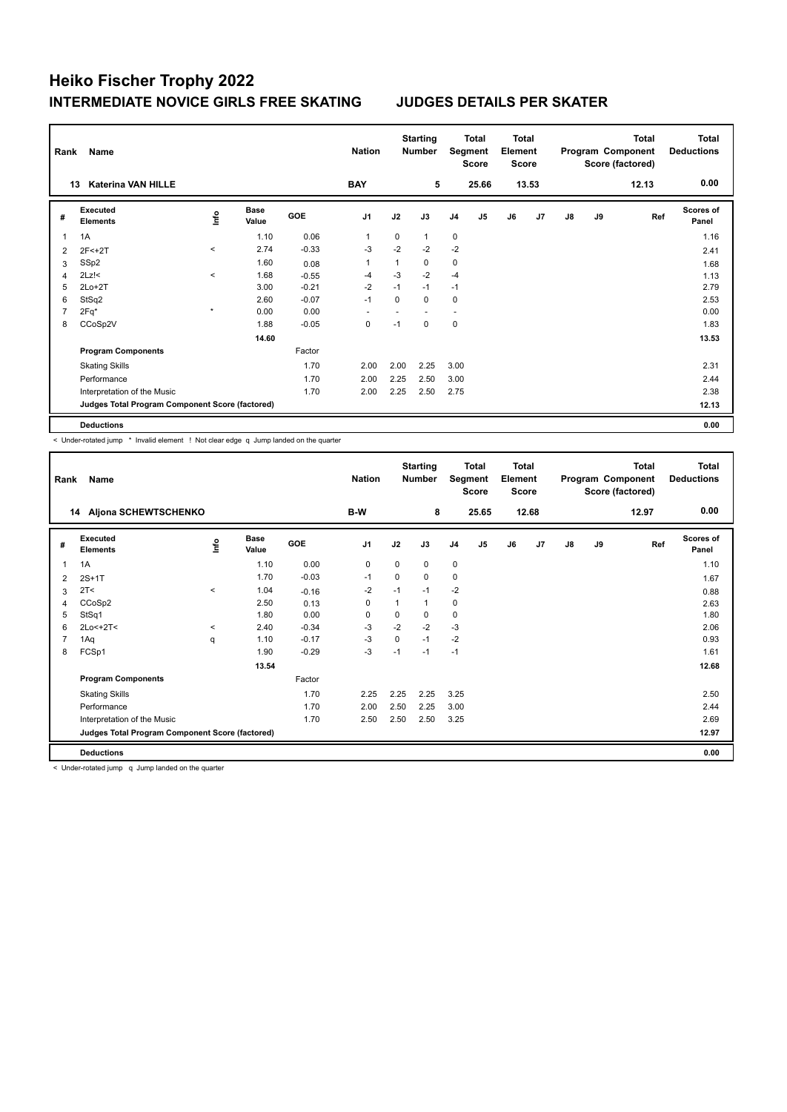| Rank | Name                                            |         |                      |         | <b>Nation</b>  |          | <b>Starting</b><br><b>Number</b> |                | Total<br>Segment<br><b>Score</b> | <b>Total</b><br>Element<br><b>Score</b> |       |               |    | <b>Total</b><br>Program Component<br>Score (factored) | <b>Total</b><br><b>Deductions</b> |
|------|-------------------------------------------------|---------|----------------------|---------|----------------|----------|----------------------------------|----------------|----------------------------------|-----------------------------------------|-------|---------------|----|-------------------------------------------------------|-----------------------------------|
|      | <b>Katerina VAN HILLE</b><br>13                 |         |                      |         | <b>BAY</b>     |          | 5                                |                | 25.66                            |                                         | 13.53 |               |    | 12.13                                                 | 0.00                              |
| #    | Executed<br><b>Elements</b>                     | ١nf٥    | <b>Base</b><br>Value | GOE     | J <sub>1</sub> | J2       | J3                               | J <sub>4</sub> | J5                               | J6                                      | J7    | $\mathsf{J}8$ | J9 | Ref                                                   | <b>Scores of</b><br>Panel         |
| 1    | 1A                                              |         | 1.10                 | 0.06    | $\overline{1}$ | $\Omega$ | $\mathbf{1}$                     | $\mathbf 0$    |                                  |                                         |       |               |    |                                                       | 1.16                              |
| 2    | $2F < +2T$                                      | $\,<$   | 2.74                 | $-0.33$ | $-3$           | $-2$     | $-2$                             | $-2$           |                                  |                                         |       |               |    |                                                       | 2.41                              |
| 3    | SSp2                                            |         | 1.60                 | 0.08    | 1              |          | 0                                | $\pmb{0}$      |                                  |                                         |       |               |    |                                                       | 1.68                              |
| 4    | $2Lz$ !<                                        | $\prec$ | 1.68                 | $-0.55$ | -4             | $-3$     | $-2$                             | $-4$           |                                  |                                         |       |               |    |                                                       | 1.13                              |
| 5    | $2Lo+2T$                                        |         | 3.00                 | $-0.21$ | $-2$           | $-1$     | $-1$                             | $-1$           |                                  |                                         |       |               |    |                                                       | 2.79                              |
| 6    | StSq2                                           |         | 2.60                 | $-0.07$ | $-1$           | $\Omega$ | $\Omega$                         | $\mathbf 0$    |                                  |                                         |       |               |    |                                                       | 2.53                              |
| 7    | 2Fq*                                            | $\star$ | 0.00                 | 0.00    | ۰              |          |                                  | ٠              |                                  |                                         |       |               |    |                                                       | 0.00                              |
| 8    | CCoSp2V                                         |         | 1.88                 | $-0.05$ | $\mathbf 0$    | $-1$     | $\Omega$                         | $\mathbf 0$    |                                  |                                         |       |               |    |                                                       | 1.83                              |
|      |                                                 |         | 14.60                |         |                |          |                                  |                |                                  |                                         |       |               |    |                                                       | 13.53                             |
|      | <b>Program Components</b>                       |         |                      | Factor  |                |          |                                  |                |                                  |                                         |       |               |    |                                                       |                                   |
|      | <b>Skating Skills</b>                           |         |                      | 1.70    | 2.00           | 2.00     | 2.25                             | 3.00           |                                  |                                         |       |               |    |                                                       | 2.31                              |
|      | Performance                                     |         |                      | 1.70    | 2.00           | 2.25     | 2.50                             | 3.00           |                                  |                                         |       |               |    |                                                       | 2.44                              |
|      | Interpretation of the Music                     |         |                      | 1.70    | 2.00           | 2.25     | 2.50                             | 2.75           |                                  |                                         |       |               |    |                                                       | 2.38                              |
|      | Judges Total Program Component Score (factored) |         |                      |         |                |          |                                  |                |                                  |                                         |       |               |    |                                                       | 12.13                             |
|      | <b>Deductions</b>                               |         |                      |         |                |          |                                  |                |                                  |                                         |       |               |    |                                                       | 0.00                              |

< Under-rotated jump \* Invalid element ! Not clear edge q Jump landed on the quarter

| Rank           | Name                                            |         |                      |            | <b>Nation</b>  |              | <b>Starting</b><br><b>Number</b> | Segment        | <b>Total</b><br><b>Score</b> | <b>Total</b><br>Element<br><b>Score</b> |       |    |    | <b>Total</b><br>Program Component<br>Score (factored) | <b>Total</b><br><b>Deductions</b> |
|----------------|-------------------------------------------------|---------|----------------------|------------|----------------|--------------|----------------------------------|----------------|------------------------------|-----------------------------------------|-------|----|----|-------------------------------------------------------|-----------------------------------|
|                | 14 Aljona SCHEWTSCHENKO                         |         |                      |            | B-W            |              | 8                                |                | 25.65                        |                                         | 12.68 |    |    | 12.97                                                 | 0.00                              |
| #              | Executed<br><b>Elements</b>                     | ۴ů      | <b>Base</b><br>Value | <b>GOE</b> | J <sub>1</sub> | J2           | J3                               | J <sub>4</sub> | J <sub>5</sub>               | J6                                      | J7    | J8 | J9 | Ref                                                   | <b>Scores of</b><br>Panel         |
| $\mathbf 1$    | 1A                                              |         | 1.10                 | 0.00       | 0              | 0            | 0                                | 0              |                              |                                         |       |    |    |                                                       | 1.10                              |
| 2              | $2S+1T$                                         |         | 1.70                 | $-0.03$    | $-1$           | 0            | 0                                | 0              |                              |                                         |       |    |    |                                                       | 1.67                              |
| 3              | 2T <                                            | $\,<\,$ | 1.04                 | $-0.16$    | $-2$           | $-1$         | $-1$                             | $-2$           |                              |                                         |       |    |    |                                                       | 0.88                              |
| 4              | CCoSp2                                          |         | 2.50                 | 0.13       | 0              | $\mathbf{1}$ |                                  | 0              |                              |                                         |       |    |    |                                                       | 2.63                              |
| 5              | StSq1                                           |         | 1.80                 | 0.00       | 0              | 0            | 0                                | 0              |                              |                                         |       |    |    |                                                       | 1.80                              |
| 6              | $2Lo < +2T <$                                   | $\prec$ | 2.40                 | $-0.34$    | $-3$           | $-2$         | $-2$                             | $-3$           |                              |                                         |       |    |    |                                                       | 2.06                              |
| $\overline{7}$ | 1Aq                                             | q       | 1.10                 | $-0.17$    | $-3$           | $\Omega$     | $-1$                             | $-2$           |                              |                                         |       |    |    |                                                       | 0.93                              |
| 8              | FCSp1                                           |         | 1.90                 | $-0.29$    | -3             | $-1$         | $-1$                             | $-1$           |                              |                                         |       |    |    |                                                       | 1.61                              |
|                |                                                 |         | 13.54                |            |                |              |                                  |                |                              |                                         |       |    |    |                                                       | 12.68                             |
|                | <b>Program Components</b>                       |         |                      | Factor     |                |              |                                  |                |                              |                                         |       |    |    |                                                       |                                   |
|                | <b>Skating Skills</b>                           |         |                      | 1.70       | 2.25           | 2.25         | 2.25                             | 3.25           |                              |                                         |       |    |    |                                                       | 2.50                              |
|                | Performance                                     |         |                      | 1.70       | 2.00           | 2.50         | 2.25                             | 3.00           |                              |                                         |       |    |    |                                                       | 2.44                              |
|                | Interpretation of the Music                     |         |                      | 1.70       | 2.50           | 2.50         | 2.50                             | 3.25           |                              |                                         |       |    |    |                                                       | 2.69                              |
|                | Judges Total Program Component Score (factored) |         |                      |            |                |              |                                  |                |                              |                                         |       |    |    |                                                       | 12.97                             |
|                | <b>Deductions</b>                               |         |                      |            |                |              |                                  |                |                              |                                         |       |    |    |                                                       | 0.00                              |

< Under-rotated jump q Jump landed on the quarter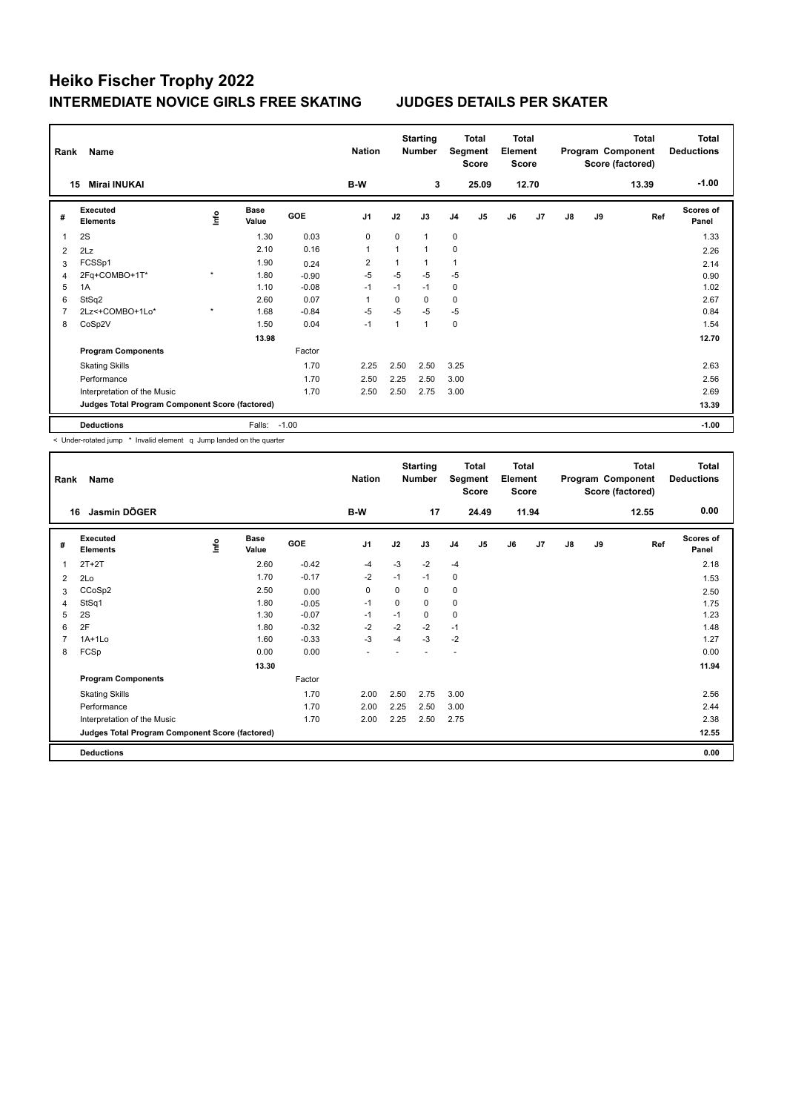| Rank           | Name                                            |                     |                      |            | <b>Nation</b>  |              | <b>Starting</b><br><b>Number</b> | Segment        | Total<br><b>Score</b> | <b>Total</b><br>Element<br><b>Score</b> |                |               |    | <b>Total</b><br>Program Component<br>Score (factored) | <b>Total</b><br><b>Deductions</b> |
|----------------|-------------------------------------------------|---------------------|----------------------|------------|----------------|--------------|----------------------------------|----------------|-----------------------|-----------------------------------------|----------------|---------------|----|-------------------------------------------------------|-----------------------------------|
|                | <b>Mirai INUKAI</b><br>15                       |                     |                      |            | B-W            |              | 3                                |                | 25.09                 |                                         | 12.70          |               |    | 13.39                                                 | $-1.00$                           |
| #              | Executed<br><b>Elements</b>                     | lnfo                | <b>Base</b><br>Value | <b>GOE</b> | J <sub>1</sub> | J2           | J3                               | J <sub>4</sub> | J5                    | J6                                      | J <sub>7</sub> | $\mathsf{J}8$ | J9 | Ref                                                   | <b>Scores of</b><br>Panel         |
| $\overline{1}$ | 2S                                              |                     | 1.30                 | 0.03       | $\mathbf 0$    | $\Omega$     | 1                                | $\mathbf 0$    |                       |                                         |                |               |    |                                                       | 1.33                              |
| 2              | 2Lz                                             |                     | 2.10                 | 0.16       | $\mathbf{1}$   | $\mathbf{1}$ | 1                                | 0              |                       |                                         |                |               |    |                                                       | 2.26                              |
| 3              | FCSSp1                                          |                     | 1.90                 | 0.24       | $\overline{2}$ | 1            |                                  | $\overline{1}$ |                       |                                         |                |               |    |                                                       | 2.14                              |
| 4              | 2Fq+COMBO+1T*                                   | $\star$             | 1.80                 | $-0.90$    | $-5$           | $-5$         | $-5$                             | $-5$           |                       |                                         |                |               |    |                                                       | 0.90                              |
| 5              | 1A                                              |                     | 1.10                 | $-0.08$    | $-1$           | $-1$         | $-1$                             | $\mathbf 0$    |                       |                                         |                |               |    |                                                       | 1.02                              |
| 6              | StSq2                                           |                     | 2.60                 | 0.07       | $\overline{1}$ | 0            | 0                                | 0              |                       |                                         |                |               |    |                                                       | 2.67                              |
| $\overline{7}$ | 2Lz<+COMBO+1Lo*                                 | $\boldsymbol{\ast}$ | 1.68                 | $-0.84$    | $-5$           | $-5$         | $-5$                             | $-5$           |                       |                                         |                |               |    |                                                       | 0.84                              |
| 8              | CoSp2V                                          |                     | 1.50                 | 0.04       | $-1$           | 1            | 1                                | $\mathbf 0$    |                       |                                         |                |               |    |                                                       | 1.54                              |
|                |                                                 |                     | 13.98                |            |                |              |                                  |                |                       |                                         |                |               |    |                                                       | 12.70                             |
|                | <b>Program Components</b>                       |                     |                      | Factor     |                |              |                                  |                |                       |                                         |                |               |    |                                                       |                                   |
|                | <b>Skating Skills</b>                           |                     |                      | 1.70       | 2.25           | 2.50         | 2.50                             | 3.25           |                       |                                         |                |               |    |                                                       | 2.63                              |
|                | Performance                                     |                     |                      | 1.70       | 2.50           | 2.25         | 2.50                             | 3.00           |                       |                                         |                |               |    |                                                       | 2.56                              |
|                | Interpretation of the Music                     |                     |                      | 1.70       | 2.50           | 2.50         | 2.75                             | 3.00           |                       |                                         |                |               |    |                                                       | 2.69                              |
|                | Judges Total Program Component Score (factored) |                     |                      |            |                |              |                                  |                |                       |                                         |                |               |    |                                                       | 13.39                             |
|                | <b>Deductions</b>                               |                     | Falls:               | $-1.00$    |                |              |                                  |                |                       |                                         |                |               |    |                                                       | $-1.00$                           |

< Under-rotated jump \* Invalid element q Jump landed on the quarter

| Rank           | Name                                            |      |                      |         | <b>Nation</b>  |      | <b>Starting</b><br>Number | Segment        | <b>Total</b><br>Score | <b>Total</b><br>Element<br><b>Score</b> |       |               |    | <b>Total</b><br>Program Component<br>Score (factored) | Total<br><b>Deductions</b> |
|----------------|-------------------------------------------------|------|----------------------|---------|----------------|------|---------------------------|----------------|-----------------------|-----------------------------------------|-------|---------------|----|-------------------------------------------------------|----------------------------|
| 16             | Jasmin DÖGER                                    |      |                      |         | B-W            |      | 17                        |                | 24.49                 |                                         | 11.94 |               |    | 12.55                                                 | 0.00                       |
| #              | Executed<br><b>Elements</b>                     | ١nf٥ | <b>Base</b><br>Value | GOE     | J <sub>1</sub> | J2   | J3                        | J <sub>4</sub> | J5                    | J6                                      | J7    | $\mathsf{J}8$ | J9 | Ref                                                   | <b>Scores of</b><br>Panel  |
| 1              | $2T+2T$                                         |      | 2.60                 | $-0.42$ | $-4$           | $-3$ | $-2$                      | $-4$           |                       |                                         |       |               |    |                                                       | 2.18                       |
| 2              | 2Lo                                             |      | 1.70                 | $-0.17$ | $-2$           | $-1$ | $-1$                      | 0              |                       |                                         |       |               |    |                                                       | 1.53                       |
| 3              | CCoSp2                                          |      | 2.50                 | 0.00    | 0              | 0    | 0                         | 0              |                       |                                         |       |               |    |                                                       | 2.50                       |
| $\overline{4}$ | StSq1                                           |      | 1.80                 | $-0.05$ | $-1$           | 0    | 0                         | 0              |                       |                                         |       |               |    |                                                       | 1.75                       |
| 5              | 2S                                              |      | 1.30                 | $-0.07$ | $-1$           | $-1$ | 0                         | 0              |                       |                                         |       |               |    |                                                       | 1.23                       |
| 6              | 2F                                              |      | 1.80                 | $-0.32$ | $-2$           | $-2$ | $-2$                      | $-1$           |                       |                                         |       |               |    |                                                       | 1.48                       |
| 7              | $1A+1L0$                                        |      | 1.60                 | $-0.33$ | $-3$           | -4   | $-3$                      | $-2$           |                       |                                         |       |               |    |                                                       | 1.27                       |
| 8              | FCSp                                            |      | 0.00                 | 0.00    |                |      |                           | ۰              |                       |                                         |       |               |    |                                                       | 0.00                       |
|                |                                                 |      | 13.30                |         |                |      |                           |                |                       |                                         |       |               |    |                                                       | 11.94                      |
|                | <b>Program Components</b>                       |      |                      | Factor  |                |      |                           |                |                       |                                         |       |               |    |                                                       |                            |
|                | <b>Skating Skills</b>                           |      |                      | 1.70    | 2.00           | 2.50 | 2.75                      | 3.00           |                       |                                         |       |               |    |                                                       | 2.56                       |
|                | Performance                                     |      |                      | 1.70    | 2.00           | 2.25 | 2.50                      | 3.00           |                       |                                         |       |               |    |                                                       | 2.44                       |
|                | Interpretation of the Music                     |      |                      | 1.70    | 2.00           | 2.25 | 2.50                      | 2.75           |                       |                                         |       |               |    |                                                       | 2.38                       |
|                | Judges Total Program Component Score (factored) |      |                      |         |                |      |                           |                |                       |                                         |       |               |    |                                                       | 12.55                      |
|                | <b>Deductions</b>                               |      |                      |         |                |      |                           |                |                       |                                         |       |               |    |                                                       | 0.00                       |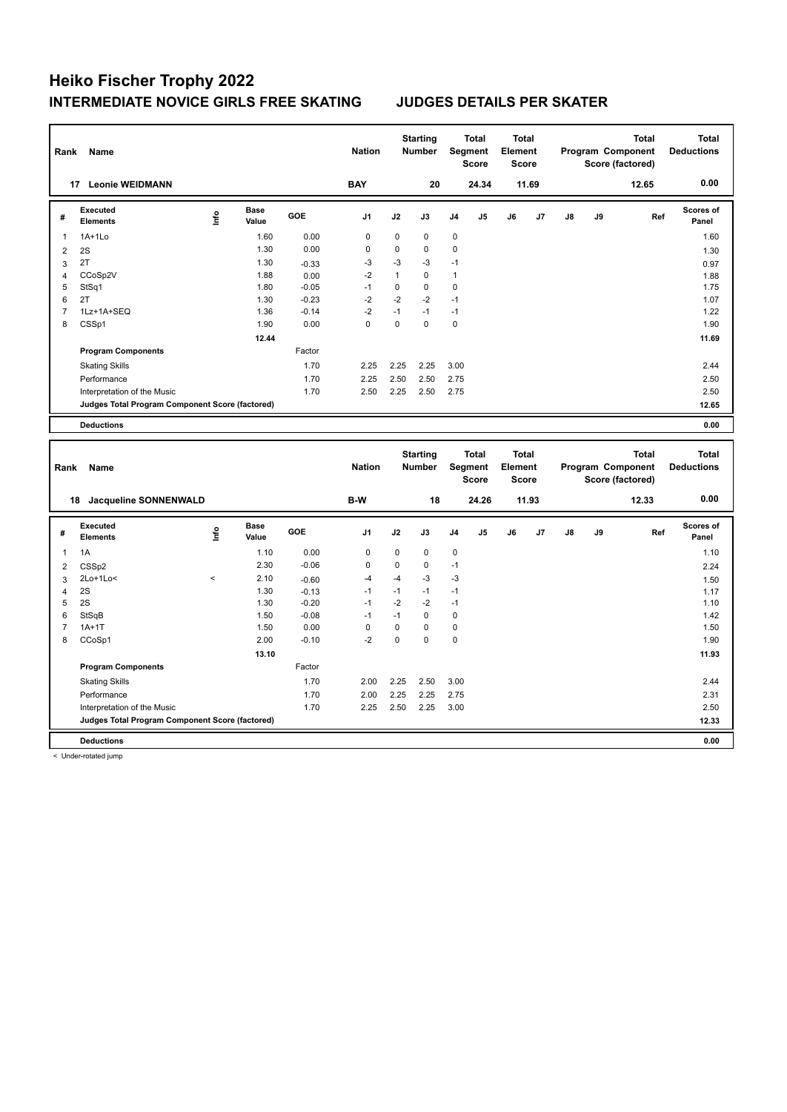| Rank           | Name                                            |          |                      |         | <b>Nation</b>  |              | <b>Starting</b><br><b>Number</b> |              | <b>Total</b><br>Segment<br><b>Score</b> | <b>Total</b><br>Element<br><b>Score</b> |       |    |    | <b>Total</b><br>Program Component<br>Score (factored) | <b>Total</b><br><b>Deductions</b> |
|----------------|-------------------------------------------------|----------|----------------------|---------|----------------|--------------|----------------------------------|--------------|-----------------------------------------|-----------------------------------------|-------|----|----|-------------------------------------------------------|-----------------------------------|
|                | 17 Leonie WEIDMANN                              |          |                      |         | <b>BAY</b>     |              | 20                               |              | 24.34                                   |                                         | 11.69 |    |    | 12.65                                                 | 0.00                              |
| #              | <b>Executed</b><br><b>Elements</b>              | ١nf٥     | <b>Base</b><br>Value | GOE     | J1             | J2           | J3                               | J4           | J5                                      | J6                                      | J7    | J8 | J9 | Ref                                                   | <b>Scores of</b><br>Panel         |
| 1              | $1A+1Lo$                                        |          | 1.60                 | 0.00    | $\mathbf 0$    | $\mathbf 0$  | $\mathbf 0$                      | $\mathbf 0$  |                                         |                                         |       |    |    |                                                       | 1.60                              |
| $\overline{2}$ | 2S                                              |          | 1.30                 | 0.00    | 0              | $\pmb{0}$    | 0                                | 0            |                                         |                                         |       |    |    |                                                       | 1.30                              |
| 3              | 2T                                              |          | 1.30                 | $-0.33$ | $-3$           | $-3$         | $-3$                             | $-1$         |                                         |                                         |       |    |    |                                                       | 0.97                              |
| $\overline{4}$ | CCoSp2V                                         |          | 1.88                 | 0.00    | $-2$           | $\mathbf{1}$ | $\mathbf 0$                      | $\mathbf{1}$ |                                         |                                         |       |    |    |                                                       | 1.88                              |
| 5              | StSq1                                           |          | 1.80                 | $-0.05$ | $-1$           | $\mathbf 0$  | $\mathbf 0$                      | $\mathbf 0$  |                                         |                                         |       |    |    |                                                       | 1.75                              |
| 6              | 2T                                              |          | 1.30                 | $-0.23$ | $-2$           | $-2$         | $-2$                             | $-1$         |                                         |                                         |       |    |    |                                                       | 1.07                              |
| $\overline{7}$ | 1Lz+1A+SEQ                                      |          | 1.36                 | $-0.14$ | $-2$           | $-1$         | $-1$                             | $-1$         |                                         |                                         |       |    |    |                                                       | 1.22                              |
| 8              | CSSp1                                           |          | 1.90                 | 0.00    | $\overline{0}$ | $\mathbf 0$  | $\Omega$                         | $\mathbf 0$  |                                         |                                         |       |    |    |                                                       | 1.90                              |
|                |                                                 |          | 12.44                |         |                |              |                                  |              |                                         |                                         |       |    |    |                                                       | 11.69                             |
|                | <b>Program Components</b>                       |          |                      | Factor  |                |              |                                  |              |                                         |                                         |       |    |    |                                                       |                                   |
|                | <b>Skating Skills</b>                           |          |                      | 1.70    | 2.25           | 2.25         | 2.25                             | 3.00         |                                         |                                         |       |    |    |                                                       | 2.44                              |
|                | Performance                                     |          |                      | 1.70    | 2.25           | 2.50         | 2.50                             | 2.75         |                                         |                                         |       |    |    |                                                       | 2.50                              |
|                | Interpretation of the Music                     |          |                      | 1.70    | 2.50           | 2.25         | 2.50                             | 2.75         |                                         |                                         |       |    |    |                                                       | 2.50                              |
|                | Judges Total Program Component Score (factored) |          |                      |         |                |              |                                  |              |                                         |                                         |       |    |    |                                                       | 12.65                             |
|                | <b>Deductions</b>                               |          |                      |         |                |              |                                  |              |                                         |                                         |       |    |    |                                                       | 0.00                              |
|                |                                                 |          |                      |         |                |              |                                  |              |                                         |                                         |       |    |    |                                                       |                                   |
|                |                                                 |          |                      |         |                |              |                                  |              |                                         |                                         |       |    |    |                                                       |                                   |
|                |                                                 |          |                      |         |                |              | <b>Starting</b>                  |              | <b>Total</b>                            | <b>Total</b>                            |       |    |    | <b>Total</b>                                          | <b>Total</b>                      |
| Rank           | Name                                            |          |                      |         | <b>Nation</b>  |              | Number                           |              | Segment<br><b>Score</b>                 | Element<br><b>Score</b>                 |       |    |    | Program Component<br>Score (factored)                 | <b>Deductions</b>                 |
|                | 18 Jacqueline SONNENWALD                        |          |                      |         | B-W            |              | 18                               |              | 24.26                                   |                                         | 11.93 |    |    | 12.33                                                 | 0.00                              |
|                |                                                 |          |                      |         |                |              |                                  |              |                                         |                                         |       |    |    |                                                       |                                   |
| #              | Executed<br><b>Elements</b>                     | ١nf٥     | <b>Base</b><br>Value | GOE     | J <sub>1</sub> | J2           | J3                               | J4           | J5                                      | J6                                      | J7    | J8 | J9 | Ref                                                   | Scores of<br>Panel                |
| 1              | 1A                                              |          | 1.10                 | 0.00    | $\pmb{0}$      | 0            | 0                                | $\mathbf 0$  |                                         |                                         |       |    |    |                                                       | 1.10                              |
| $\overline{2}$ | CSS <sub>p2</sub>                               |          | 2.30                 | $-0.06$ | 0              | $\pmb{0}$    | 0                                | $-1$         |                                         |                                         |       |    |    |                                                       | 2.24                              |
| 3              | $2Lo+1Lo<$                                      | $\hat{}$ | 2.10                 | $-0.60$ | $-4$           | $-4$         | -3                               | $-3$         |                                         |                                         |       |    |    |                                                       | 1.50                              |
| $\overline{4}$ | 2S                                              |          | 1.30                 | $-0.13$ | $-1$           | $-1$         | $-1$                             | $-1$         |                                         |                                         |       |    |    |                                                       | 1.17                              |
| 5              | 2S                                              |          | 1.30                 | $-0.20$ | $-1$           | $-2$         | $-2$                             | $-1$         |                                         |                                         |       |    |    |                                                       | 1.10                              |
| 6              | StSqB                                           |          | 1.50                 | $-0.08$ | $-1$           | $-1$         | 0                                | 0            |                                         |                                         |       |    |    |                                                       | 1.42                              |
| $\overline{7}$ | $1A+1T$                                         |          | 1.50                 | 0.00    | $\pmb{0}$      | $\pmb{0}$    | 0                                | 0            |                                         |                                         |       |    |    |                                                       | 1.50                              |
| 8              | CCoSp1                                          |          | 2.00                 | $-0.10$ | $-2$           | 0            | $\mathbf 0$                      | $\mathbf 0$  |                                         |                                         |       |    |    |                                                       | 1.90                              |
|                |                                                 |          | 13.10                |         |                |              |                                  |              |                                         |                                         |       |    |    |                                                       | 11.93                             |
|                | <b>Program Components</b>                       |          |                      | Factor  |                |              |                                  |              |                                         |                                         |       |    |    |                                                       |                                   |
|                | <b>Skating Skills</b>                           |          |                      | 1.70    | 2.00           | 2.25         | 2.50                             | 3.00         |                                         |                                         |       |    |    |                                                       | 2.44                              |
|                | Performance                                     |          |                      | 1.70    | 2.00           | 2.25         | 2.25                             | 2.75         |                                         |                                         |       |    |    |                                                       | 2.31                              |
|                | Interpretation of the Music                     |          |                      | 1.70    | 2.25           | 2.50         | 2.25                             | 3.00         |                                         |                                         |       |    |    |                                                       | 2.50                              |
|                | Judges Total Program Component Score (factored) |          |                      |         |                |              |                                  |              |                                         |                                         |       |    |    |                                                       | 12.33                             |

< Under-rotated jump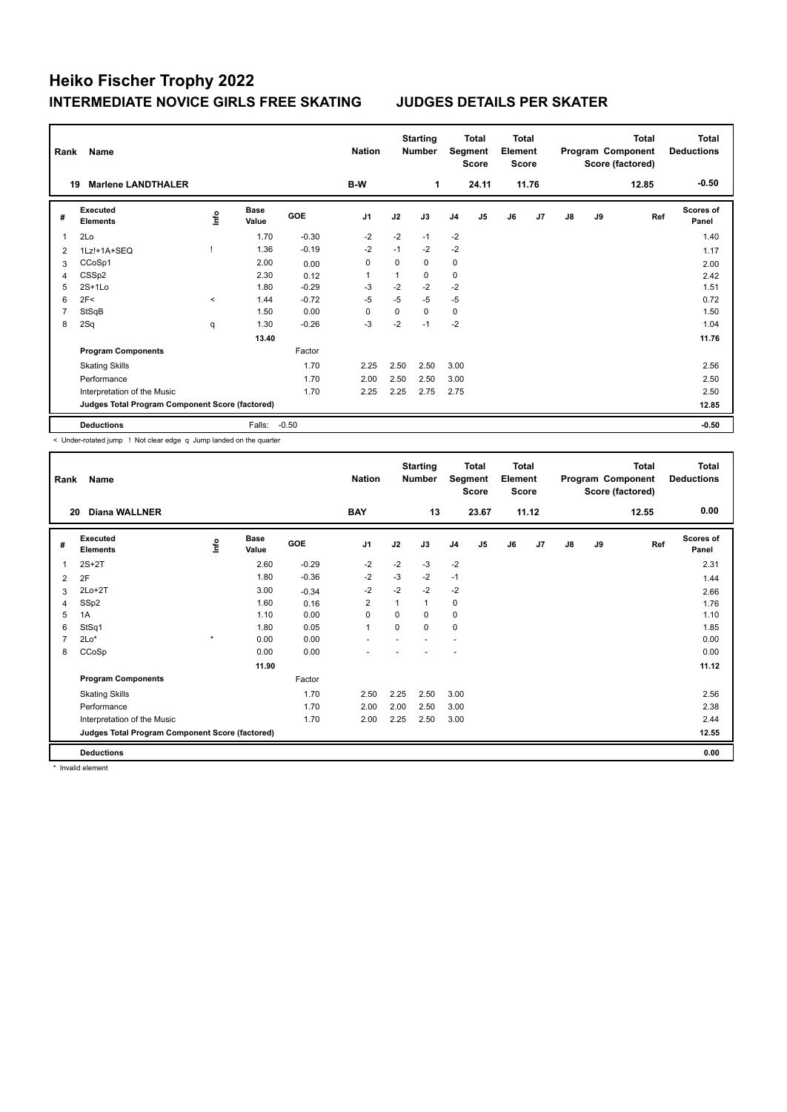| Rank           | Name                                            |       |                      |         | <b>Nation</b>  |          | <b>Starting</b><br><b>Number</b> | Segment        | <b>Total</b><br><b>Score</b> | <b>Total</b><br>Element<br><b>Score</b> |                |               |    | <b>Total</b><br>Program Component<br>Score (factored) | <b>Total</b><br><b>Deductions</b> |
|----------------|-------------------------------------------------|-------|----------------------|---------|----------------|----------|----------------------------------|----------------|------------------------------|-----------------------------------------|----------------|---------------|----|-------------------------------------------------------|-----------------------------------|
| 19             | <b>Marlene LANDTHALER</b>                       |       |                      |         | B-W            |          | 1                                |                | 24.11                        |                                         | 11.76          |               |    | 12.85                                                 | $-0.50$                           |
| #              | Executed<br><b>Elements</b>                     | ١nf٥  | <b>Base</b><br>Value | GOE     | J <sub>1</sub> | J2       | J3                               | J <sub>4</sub> | J <sub>5</sub>               | J6                                      | J <sub>7</sub> | $\mathsf{J}8$ | J9 | Ref                                                   | <b>Scores of</b><br>Panel         |
| 1              | 2Lo                                             |       | 1.70                 | $-0.30$ | $-2$           | $-2$     | $-1$                             | $-2$           |                              |                                         |                |               |    |                                                       | 1.40                              |
| 2              | 1Lz!+1A+SEQ                                     |       | 1.36                 | $-0.19$ | $-2$           | $-1$     | $-2$                             | $-2$           |                              |                                         |                |               |    |                                                       | 1.17                              |
| 3              | CCoSp1                                          |       | 2.00                 | 0.00    | 0              | $\Omega$ | $\Omega$                         | 0              |                              |                                         |                |               |    |                                                       | 2.00                              |
| 4              | CSS <sub>p2</sub>                               |       | 2.30                 | 0.12    | $\overline{1}$ |          | 0                                | $\mathbf 0$    |                              |                                         |                |               |    |                                                       | 2.42                              |
| 5              | $2S+1Lo$                                        |       | 1.80                 | $-0.29$ | -3             | $-2$     | $-2$                             | $-2$           |                              |                                         |                |               |    |                                                       | 1.51                              |
| 6              | 2F<                                             | $\,<$ | 1.44                 | $-0.72$ | $-5$           | $-5$     | $-5$                             | $-5$           |                              |                                         |                |               |    |                                                       | 0.72                              |
| $\overline{7}$ | StSqB                                           |       | 1.50                 | 0.00    | $\Omega$       | 0        | $\Omega$                         | 0              |                              |                                         |                |               |    |                                                       | 1.50                              |
| 8              | 2Sq                                             | q     | 1.30                 | $-0.26$ | $-3$           | $-2$     | $-1$                             | $-2$           |                              |                                         |                |               |    |                                                       | 1.04                              |
|                |                                                 |       | 13.40                |         |                |          |                                  |                |                              |                                         |                |               |    |                                                       | 11.76                             |
|                | <b>Program Components</b>                       |       |                      | Factor  |                |          |                                  |                |                              |                                         |                |               |    |                                                       |                                   |
|                | <b>Skating Skills</b>                           |       |                      | 1.70    | 2.25           | 2.50     | 2.50                             | 3.00           |                              |                                         |                |               |    |                                                       | 2.56                              |
|                | Performance                                     |       |                      | 1.70    | 2.00           | 2.50     | 2.50                             | 3.00           |                              |                                         |                |               |    |                                                       | 2.50                              |
|                | Interpretation of the Music                     |       |                      | 1.70    | 2.25           | 2.25     | 2.75                             | 2.75           |                              |                                         |                |               |    |                                                       | 2.50                              |
|                | Judges Total Program Component Score (factored) |       |                      |         |                |          |                                  |                |                              |                                         |                |               |    |                                                       | 12.85                             |
|                | <b>Deductions</b>                               |       | Falls:               | $-0.50$ |                |          |                                  |                |                              |                                         |                |               |    |                                                       | $-0.50$                           |

< Under-rotated jump ! Not clear edge q Jump landed on the quarter

| Rank           | Name                                            |         |                      |         | <b>Nation</b>  |              | <b>Starting</b><br>Number |                | Total<br>Segment<br><b>Score</b> | <b>Total</b><br>Element<br><b>Score</b> |                |    |    | <b>Total</b><br>Program Component<br>Score (factored) | <b>Total</b><br><b>Deductions</b> |
|----------------|-------------------------------------------------|---------|----------------------|---------|----------------|--------------|---------------------------|----------------|----------------------------------|-----------------------------------------|----------------|----|----|-------------------------------------------------------|-----------------------------------|
| 20             | <b>Diana WALLNER</b>                            |         |                      |         | <b>BAY</b>     |              | 13                        |                | 23.67                            |                                         | 11.12          |    |    | 12.55                                                 | 0.00                              |
| #              | Executed<br><b>Elements</b>                     | ۴ů      | <b>Base</b><br>Value | GOE     | J <sub>1</sub> | J2           | J3                        | J <sub>4</sub> | J <sub>5</sub>                   | J6                                      | J <sub>7</sub> | J8 | J9 | Ref                                                   | <b>Scores of</b><br>Panel         |
| 1              | $2S+2T$                                         |         | 2.60                 | $-0.29$ | $-2$           | $-2$         | $-3$                      | $-2$           |                                  |                                         |                |    |    |                                                       | 2.31                              |
| 2              | 2F                                              |         | 1.80                 | $-0.36$ | $-2$           | $-3$         | $-2$                      | $-1$           |                                  |                                         |                |    |    |                                                       | 1.44                              |
| 3              | $2Lo+2T$                                        |         | 3.00                 | $-0.34$ | $-2$           | $-2$         | $-2$                      | $-2$           |                                  |                                         |                |    |    |                                                       | 2.66                              |
| 4              | SSp2                                            |         | 1.60                 | 0.16    | $\overline{2}$ | $\mathbf{1}$ | $\mathbf{1}$              | 0              |                                  |                                         |                |    |    |                                                       | 1.76                              |
| 5              | 1A                                              |         | 1.10                 | 0.00    | 0              | $\mathbf 0$  | $\mathbf 0$               | 0              |                                  |                                         |                |    |    |                                                       | 1.10                              |
| 6              | StSq1                                           |         | 1.80                 | 0.05    | 1              | $\mathbf 0$  | $\mathbf 0$               | 0              |                                  |                                         |                |    |    |                                                       | 1.85                              |
| $\overline{7}$ | $2Lo*$                                          | $\star$ | 0.00                 | 0.00    |                |              |                           |                |                                  |                                         |                |    |    |                                                       | 0.00                              |
| 8              | CCoSp                                           |         | 0.00                 | 0.00    |                |              |                           |                |                                  |                                         |                |    |    |                                                       | 0.00                              |
|                |                                                 |         | 11.90                |         |                |              |                           |                |                                  |                                         |                |    |    |                                                       | 11.12                             |
|                | <b>Program Components</b>                       |         |                      | Factor  |                |              |                           |                |                                  |                                         |                |    |    |                                                       |                                   |
|                | <b>Skating Skills</b>                           |         |                      | 1.70    | 2.50           | 2.25         | 2.50                      | 3.00           |                                  |                                         |                |    |    |                                                       | 2.56                              |
|                | Performance                                     |         |                      | 1.70    | 2.00           | 2.00         | 2.50                      | 3.00           |                                  |                                         |                |    |    |                                                       | 2.38                              |
|                | Interpretation of the Music                     |         |                      | 1.70    | 2.00           | 2.25         | 2.50                      | 3.00           |                                  |                                         |                |    |    |                                                       | 2.44                              |
|                | Judges Total Program Component Score (factored) |         |                      |         |                |              |                           |                |                                  |                                         |                |    |    |                                                       | 12.55                             |
|                | <b>Deductions</b>                               |         |                      |         |                |              |                           |                |                                  |                                         |                |    |    |                                                       | 0.00                              |

\* Invalid element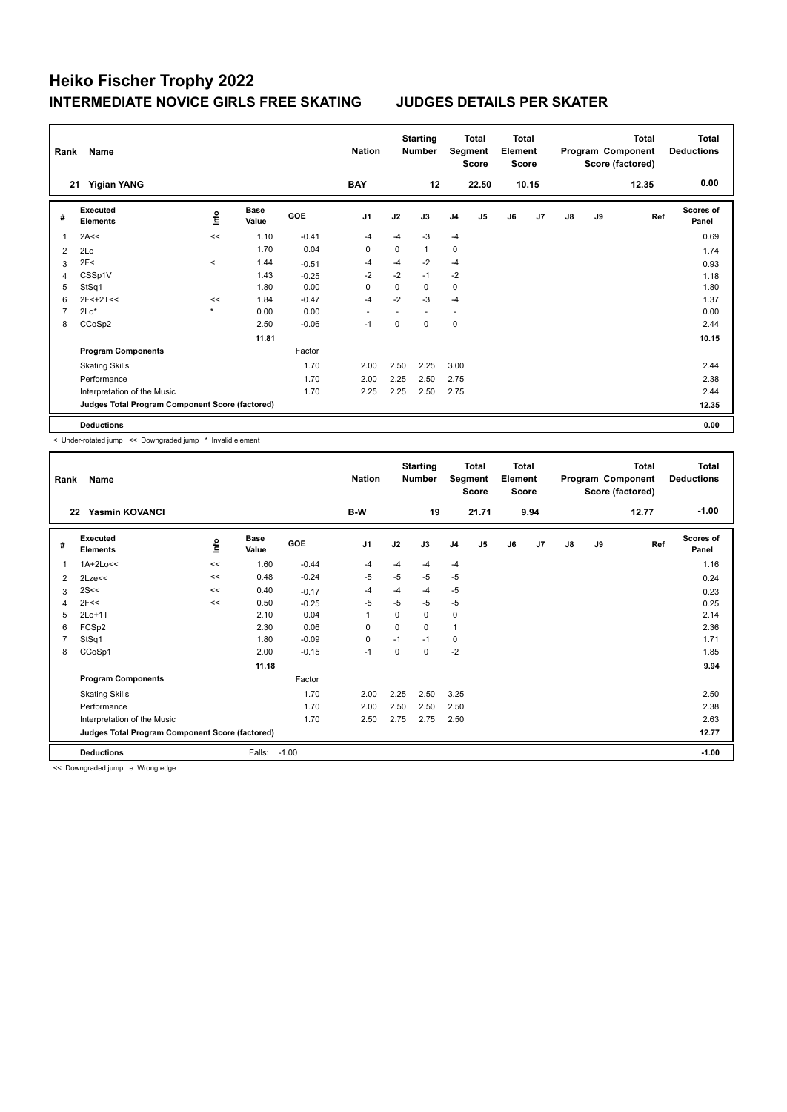| Rank           | Name                                            |         |                      |         | <b>Nation</b>  |             | <b>Starting</b><br><b>Number</b> |                          | <b>Total</b><br>Segment<br><b>Score</b> | <b>Total</b><br>Element<br><b>Score</b> |                |               |    | <b>Total</b><br>Program Component<br>Score (factored) | <b>Total</b><br><b>Deductions</b> |
|----------------|-------------------------------------------------|---------|----------------------|---------|----------------|-------------|----------------------------------|--------------------------|-----------------------------------------|-----------------------------------------|----------------|---------------|----|-------------------------------------------------------|-----------------------------------|
| 21             | <b>Yigian YANG</b>                              |         |                      |         | <b>BAY</b>     |             | 12                               |                          | 22.50                                   |                                         | 10.15          |               |    | 12.35                                                 | 0.00                              |
| #              | Executed<br><b>Elements</b>                     | ١nf٥    | <b>Base</b><br>Value | GOE     | J <sub>1</sub> | J2          | J3                               | J <sub>4</sub>           | J5                                      | J6                                      | J <sub>7</sub> | $\mathsf{J}8$ | J9 | Ref                                                   | <b>Scores of</b><br>Panel         |
| 1              | 2A<<                                            | <<      | 1.10                 | $-0.41$ | $-4$           | $-4$        | $-3$                             | $-4$                     |                                         |                                         |                |               |    |                                                       | 0.69                              |
| $\overline{2}$ | 2Lo                                             |         | 1.70                 | 0.04    | $\mathbf 0$    | $\mathbf 0$ | $\mathbf{1}$                     | 0                        |                                         |                                         |                |               |    |                                                       | 1.74                              |
| 3              | 2F<                                             | $\prec$ | 1.44                 | $-0.51$ | $-4$           | $-4$        | $-2$                             | $-4$                     |                                         |                                         |                |               |    |                                                       | 0.93                              |
| 4              | CSSp1V                                          |         | 1.43                 | $-0.25$ | $-2$           | $-2$        | $-1$                             | $-2$                     |                                         |                                         |                |               |    |                                                       | 1.18                              |
| 5              | StSq1                                           |         | 1.80                 | 0.00    | 0              | 0           | 0                                | 0                        |                                         |                                         |                |               |    |                                                       | 1.80                              |
| 6              | $2F<+2T<<$                                      | <<      | 1.84                 | $-0.47$ | $-4$           | $-2$        | $-3$                             | $-4$                     |                                         |                                         |                |               |    |                                                       | 1.37                              |
| 7              | $2Lo*$                                          | $\star$ | 0.00                 | 0.00    | ٠              |             |                                  | $\overline{\phantom{a}}$ |                                         |                                         |                |               |    |                                                       | 0.00                              |
| 8              | CCoSp2                                          |         | 2.50                 | $-0.06$ | $-1$           | $\Omega$    | $\Omega$                         | $\mathbf 0$              |                                         |                                         |                |               |    |                                                       | 2.44                              |
|                |                                                 |         | 11.81                |         |                |             |                                  |                          |                                         |                                         |                |               |    |                                                       | 10.15                             |
|                | <b>Program Components</b>                       |         |                      | Factor  |                |             |                                  |                          |                                         |                                         |                |               |    |                                                       |                                   |
|                | <b>Skating Skills</b>                           |         |                      | 1.70    | 2.00           | 2.50        | 2.25                             | 3.00                     |                                         |                                         |                |               |    |                                                       | 2.44                              |
|                | Performance                                     |         |                      | 1.70    | 2.00           | 2.25        | 2.50                             | 2.75                     |                                         |                                         |                |               |    |                                                       | 2.38                              |
|                | Interpretation of the Music                     |         |                      | 1.70    | 2.25           | 2.25        | 2.50                             | 2.75                     |                                         |                                         |                |               |    |                                                       | 2.44                              |
|                | Judges Total Program Component Score (factored) |         |                      |         |                |             |                                  |                          |                                         |                                         |                |               |    |                                                       | 12.35                             |
|                | <b>Deductions</b>                               |         |                      |         |                |             |                                  |                          |                                         |                                         |                |               |    |                                                       | 0.00                              |

< Under-rotated jump << Downgraded jump \* Invalid element

| Rank | Name                                            |      |                      |         | <b>Nation</b>  |          | <b>Starting</b><br>Number | Segment        | <b>Total</b><br><b>Score</b> | <b>Total</b><br>Element<br><b>Score</b> |      |               |    | <b>Total</b><br>Program Component<br>Score (factored) | <b>Total</b><br><b>Deductions</b> |
|------|-------------------------------------------------|------|----------------------|---------|----------------|----------|---------------------------|----------------|------------------------------|-----------------------------------------|------|---------------|----|-------------------------------------------------------|-----------------------------------|
| 22   | <b>Yasmin KOVANCI</b>                           |      |                      |         | B-W            |          | 19                        |                | 21.71                        |                                         | 9.94 |               |    | 12.77                                                 | $-1.00$                           |
| #    | Executed<br><b>Elements</b>                     | lnfo | <b>Base</b><br>Value | GOE     | J <sub>1</sub> | J2       | J3                        | J <sub>4</sub> | J <sub>5</sub>               | J6                                      | J7   | $\mathsf{J}8$ | J9 | Ref                                                   | <b>Scores of</b><br>Panel         |
| -1   | $1A+2Lo<<$                                      | <<   | 1.60                 | $-0.44$ | $-4$           | $-4$     | -4                        | -4             |                              |                                         |      |               |    |                                                       | 1.16                              |
| 2    | 2Lze<<                                          | <<   | 0.48                 | $-0.24$ | $-5$           | $-5$     | $-5$                      | -5             |                              |                                         |      |               |    |                                                       | 0.24                              |
| 3    | 2S<<                                            | <<   | 0.40                 | $-0.17$ | $-4$           | $-4$     | -4                        | $-5$           |                              |                                         |      |               |    |                                                       | 0.23                              |
| 4    | 2F<<                                            | <<   | 0.50                 | $-0.25$ | -5             | $-5$     | -5                        | -5             |                              |                                         |      |               |    |                                                       | 0.25                              |
| 5    | $2Lo+1T$                                        |      | 2.10                 | 0.04    | 1              | $\Omega$ | 0                         | 0              |                              |                                         |      |               |    |                                                       | 2.14                              |
| 6    | FCSp2                                           |      | 2.30                 | 0.06    | $\mathbf 0$    | 0        | 0                         | 1              |                              |                                         |      |               |    |                                                       | 2.36                              |
|      | StSq1                                           |      | 1.80                 | $-0.09$ | $\mathbf 0$    | $-1$     | $-1$                      | 0              |                              |                                         |      |               |    |                                                       | 1.71                              |
| 8    | CCoSp1                                          |      | 2.00                 | $-0.15$ | $-1$           | 0        | 0                         | $-2$           |                              |                                         |      |               |    |                                                       | 1.85                              |
|      |                                                 |      | 11.18                |         |                |          |                           |                |                              |                                         |      |               |    |                                                       | 9.94                              |
|      | <b>Program Components</b>                       |      |                      | Factor  |                |          |                           |                |                              |                                         |      |               |    |                                                       |                                   |
|      | <b>Skating Skills</b>                           |      |                      | 1.70    | 2.00           | 2.25     | 2.50                      | 3.25           |                              |                                         |      |               |    |                                                       | 2.50                              |
|      | Performance                                     |      |                      | 1.70    | 2.00           | 2.50     | 2.50                      | 2.50           |                              |                                         |      |               |    |                                                       | 2.38                              |
|      | Interpretation of the Music                     |      |                      | 1.70    | 2.50           | 2.75     | 2.75                      | 2.50           |                              |                                         |      |               |    |                                                       | 2.63                              |
|      | Judges Total Program Component Score (factored) |      |                      |         |                |          |                           |                |                              |                                         |      |               |    |                                                       | 12.77                             |
|      | <b>Deductions</b>                               |      | Falls:               | $-1.00$ |                |          |                           |                |                              |                                         |      |               |    |                                                       | $-1.00$                           |

<< Downgraded jump e Wrong edge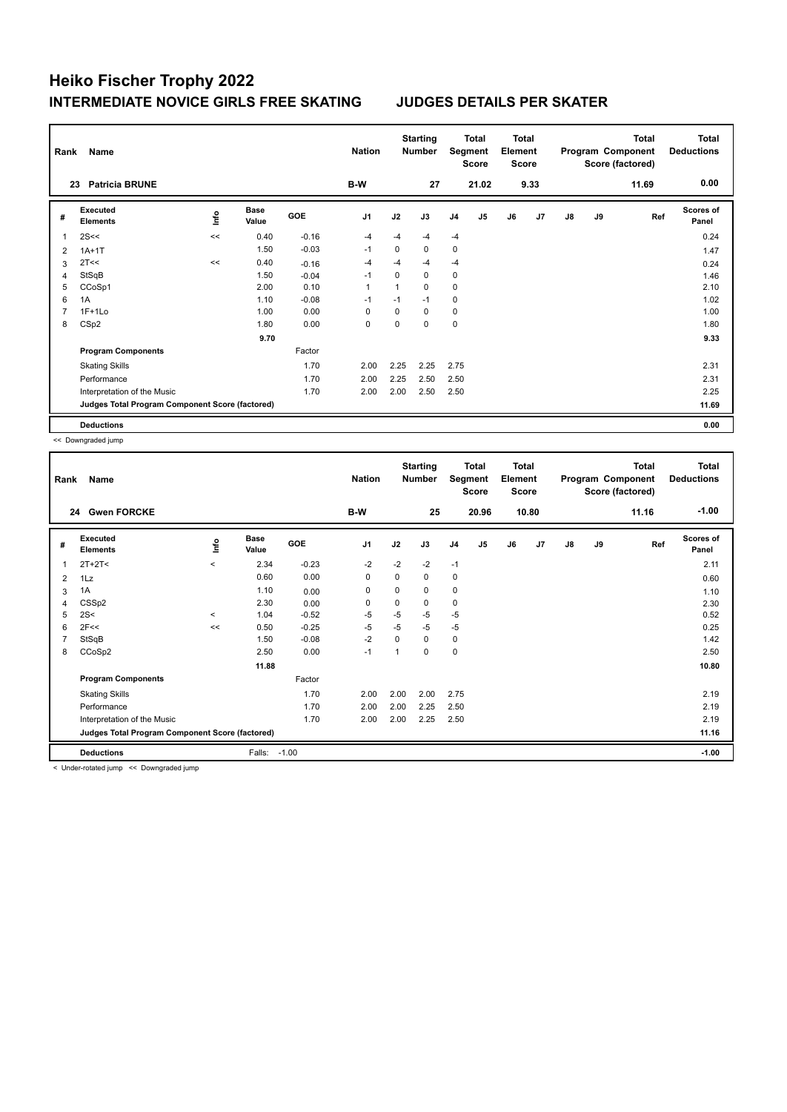| Rank           | Name                                            |      |                      |            | <b>Nation</b>  |             | <b>Starting</b><br><b>Number</b> |                | <b>Total</b><br>Segment<br><b>Score</b> | <b>Total</b><br>Element<br><b>Score</b> |                |               |    | <b>Total</b><br>Program Component<br>Score (factored) | <b>Total</b><br><b>Deductions</b> |
|----------------|-------------------------------------------------|------|----------------------|------------|----------------|-------------|----------------------------------|----------------|-----------------------------------------|-----------------------------------------|----------------|---------------|----|-------------------------------------------------------|-----------------------------------|
|                | <b>Patricia BRUNE</b><br>23                     |      |                      |            | B-W            |             | 27                               |                | 21.02                                   |                                         | 9.33           |               |    | 11.69                                                 | 0.00                              |
| #              | Executed<br><b>Elements</b>                     | lnfo | <b>Base</b><br>Value | <b>GOE</b> | J <sub>1</sub> | J2          | J3                               | J <sub>4</sub> | J5                                      | J6                                      | J <sub>7</sub> | $\mathsf{J}8$ | J9 | Ref                                                   | <b>Scores of</b><br>Panel         |
| 1              | 2S<<                                            | <<   | 0.40                 | $-0.16$    | $-4$           | -4          | $-4$                             | $-4$           |                                         |                                         |                |               |    |                                                       | 0.24                              |
| $\overline{2}$ | $1A+1T$                                         |      | 1.50                 | $-0.03$    | $-1$           | $\mathbf 0$ | $\mathbf 0$                      | $\mathbf 0$    |                                         |                                         |                |               |    |                                                       | 1.47                              |
| 3              | 2T <<                                           | <<   | 0.40                 | $-0.16$    | $-4$           | -4          | -4                               | $-4$           |                                         |                                         |                |               |    |                                                       | 0.24                              |
| 4              | StSqB                                           |      | 1.50                 | $-0.04$    | $-1$           | $\Omega$    | $\Omega$                         | 0              |                                         |                                         |                |               |    |                                                       | 1.46                              |
| 5              | CCoSp1                                          |      | 2.00                 | 0.10       | $\mathbf{1}$   | 1           | 0                                | 0              |                                         |                                         |                |               |    |                                                       | 2.10                              |
| 6              | 1A                                              |      | 1.10                 | $-0.08$    | $-1$           | $-1$        | $-1$                             | 0              |                                         |                                         |                |               |    |                                                       | 1.02                              |
| 7              | $1F+1Lo$                                        |      | 1.00                 | 0.00       | 0              | 0           | 0                                | 0              |                                         |                                         |                |               |    |                                                       | 1.00                              |
| 8              | CSp2                                            |      | 1.80                 | 0.00       | 0              | $\Omega$    | $\Omega$                         | $\mathbf 0$    |                                         |                                         |                |               |    |                                                       | 1.80                              |
|                |                                                 |      | 9.70                 |            |                |             |                                  |                |                                         |                                         |                |               |    |                                                       | 9.33                              |
|                | <b>Program Components</b>                       |      |                      | Factor     |                |             |                                  |                |                                         |                                         |                |               |    |                                                       |                                   |
|                | <b>Skating Skills</b>                           |      |                      | 1.70       | 2.00           | 2.25        | 2.25                             | 2.75           |                                         |                                         |                |               |    |                                                       | 2.31                              |
|                | Performance                                     |      |                      | 1.70       | 2.00           | 2.25        | 2.50                             | 2.50           |                                         |                                         |                |               |    |                                                       | 2.31                              |
|                | Interpretation of the Music                     |      |                      | 1.70       | 2.00           | 2.00        | 2.50                             | 2.50           |                                         |                                         |                |               |    |                                                       | 2.25                              |
|                | Judges Total Program Component Score (factored) |      |                      |            |                |             |                                  |                |                                         |                                         |                |               |    |                                                       | 11.69                             |
|                | <b>Deductions</b>                               |      |                      |            |                |             |                                  |                |                                         |                                         |                |               |    |                                                       | 0.00                              |

<< Downgraded jump

| Rank           | Name                                            |                     | <b>Nation</b> |         | <b>Starting</b><br><b>Number</b> |             | <b>Total</b><br>Segment<br><b>Score</b> | <b>Total</b><br>Element<br><b>Score</b> |       |    |       | Total<br>Program Component<br>Score (factored) | <b>Total</b><br><b>Deductions</b> |       |                           |
|----------------|-------------------------------------------------|---------------------|---------------|---------|----------------------------------|-------------|-----------------------------------------|-----------------------------------------|-------|----|-------|------------------------------------------------|-----------------------------------|-------|---------------------------|
|                | <b>Gwen FORCKE</b><br>24                        |                     |               |         | B-W                              |             | 25                                      |                                         | 20.96 |    | 10.80 |                                                |                                   | 11.16 | $-1.00$                   |
| #              | Executed<br><b>Elements</b>                     | <u>lnfo</u>         | Base<br>Value | GOE     | J <sub>1</sub>                   | J2          | J3                                      | J <sub>4</sub>                          | J5    | J6 | J7    | $\mathsf{J}8$                                  | J9                                | Ref   | <b>Scores of</b><br>Panel |
| 1              | $2T+2T2$                                        | $\prec$             | 2.34          | $-0.23$ | $-2$                             | $-2$        | $-2$                                    | $-1$                                    |       |    |       |                                                |                                   |       | 2.11                      |
| 2              | 1Lz                                             |                     | 0.60          | 0.00    | $\mathbf 0$                      | 0           | 0                                       | 0                                       |       |    |       |                                                |                                   |       | 0.60                      |
| 3              | 1A                                              |                     | 1.10          | 0.00    | 0                                | 0           | 0                                       | 0                                       |       |    |       |                                                |                                   |       | 1.10                      |
| 4              | CSS <sub>p2</sub>                               |                     | 2.30          | 0.00    | 0                                | $\mathbf 0$ | 0                                       | $\pmb{0}$                               |       |    |       |                                                |                                   |       | 2.30                      |
| 5              | 2S<                                             | $\hat{\phantom{a}}$ | 1.04          | $-0.52$ | $-5$                             | $-5$        | $-5$                                    | $-5$                                    |       |    |       |                                                |                                   |       | 0.52                      |
| 6              | 2F<<                                            | <<                  | 0.50          | $-0.25$ | $-5$                             | $-5$        | $-5$                                    | $-5$                                    |       |    |       |                                                |                                   |       | 0.25                      |
| $\overline{7}$ | StSqB                                           |                     | 1.50          | $-0.08$ | $-2$                             | $\Omega$    | 0                                       | 0                                       |       |    |       |                                                |                                   |       | 1.42                      |
| 8              | CCoSp2                                          |                     | 2.50          | 0.00    | $-1$                             | -1          | 0                                       | $\pmb{0}$                               |       |    |       |                                                |                                   |       | 2.50                      |
|                |                                                 |                     | 11.88         |         |                                  |             |                                         |                                         |       |    |       |                                                |                                   |       | 10.80                     |
|                | <b>Program Components</b>                       |                     |               | Factor  |                                  |             |                                         |                                         |       |    |       |                                                |                                   |       |                           |
|                | <b>Skating Skills</b>                           |                     |               | 1.70    | 2.00                             | 2.00        | 2.00                                    | 2.75                                    |       |    |       |                                                |                                   |       | 2.19                      |
|                | Performance                                     |                     |               | 1.70    | 2.00                             | 2.00        | 2.25                                    | 2.50                                    |       |    |       |                                                |                                   |       | 2.19                      |
|                | Interpretation of the Music                     |                     |               | 1.70    | 2.00                             | 2.00        | 2.25                                    | 2.50                                    |       |    |       |                                                |                                   |       | 2.19                      |
|                | Judges Total Program Component Score (factored) |                     |               |         |                                  |             |                                         |                                         |       |    |       |                                                |                                   |       | 11.16                     |
|                | <b>Deductions</b>                               |                     | Falls:        | $-1.00$ |                                  |             |                                         |                                         |       |    |       |                                                |                                   |       | $-1.00$                   |

< Under-rotated jump << Downgraded jump